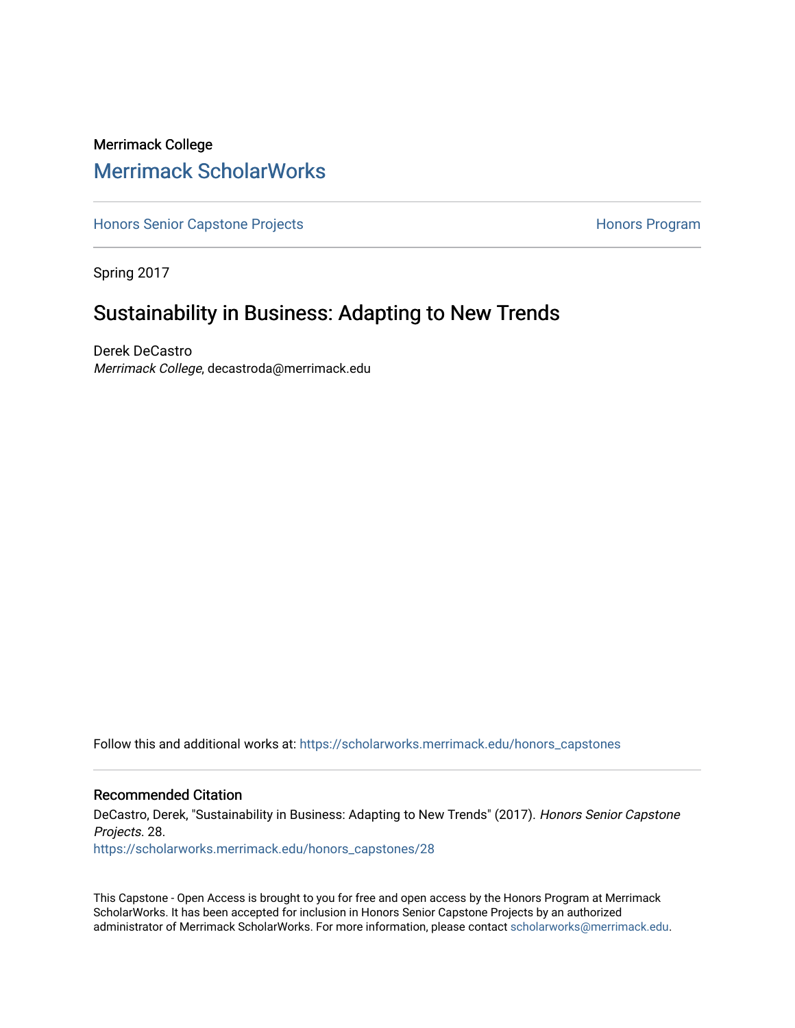# Merrimack College [Merrimack ScholarWorks](https://scholarworks.merrimack.edu/)

[Honors Senior Capstone Projects](https://scholarworks.merrimack.edu/honors_capstones) **Honors Program** Honors Program

Spring 2017

# Sustainability in Business: Adapting to New Trends

Derek DeCastro Merrimack College, decastroda@merrimack.edu

Follow this and additional works at: [https://scholarworks.merrimack.edu/honors\\_capstones](https://scholarworks.merrimack.edu/honors_capstones?utm_source=scholarworks.merrimack.edu%2Fhonors_capstones%2F28&utm_medium=PDF&utm_campaign=PDFCoverPages)

#### Recommended Citation

DeCastro, Derek, "Sustainability in Business: Adapting to New Trends" (2017). Honors Senior Capstone Projects. 28.

[https://scholarworks.merrimack.edu/honors\\_capstones/28](https://scholarworks.merrimack.edu/honors_capstones/28?utm_source=scholarworks.merrimack.edu%2Fhonors_capstones%2F28&utm_medium=PDF&utm_campaign=PDFCoverPages) 

This Capstone - Open Access is brought to you for free and open access by the Honors Program at Merrimack ScholarWorks. It has been accepted for inclusion in Honors Senior Capstone Projects by an authorized administrator of Merrimack ScholarWorks. For more information, please contact [scholarworks@merrimack.edu](mailto:scholarworks@merrimack.edu).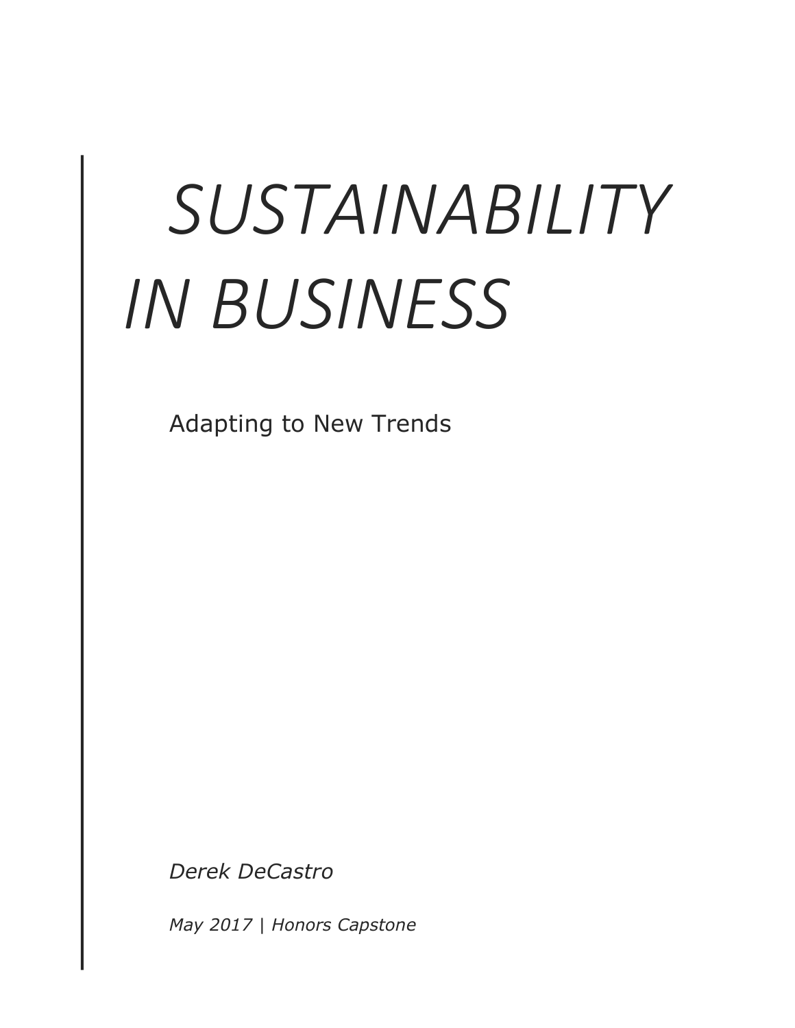# SUSTAINABILITY *IN BUSINESS*

Adapting to New Trends

*Derek DeCastro*

*May 2017 | Honors Capstone*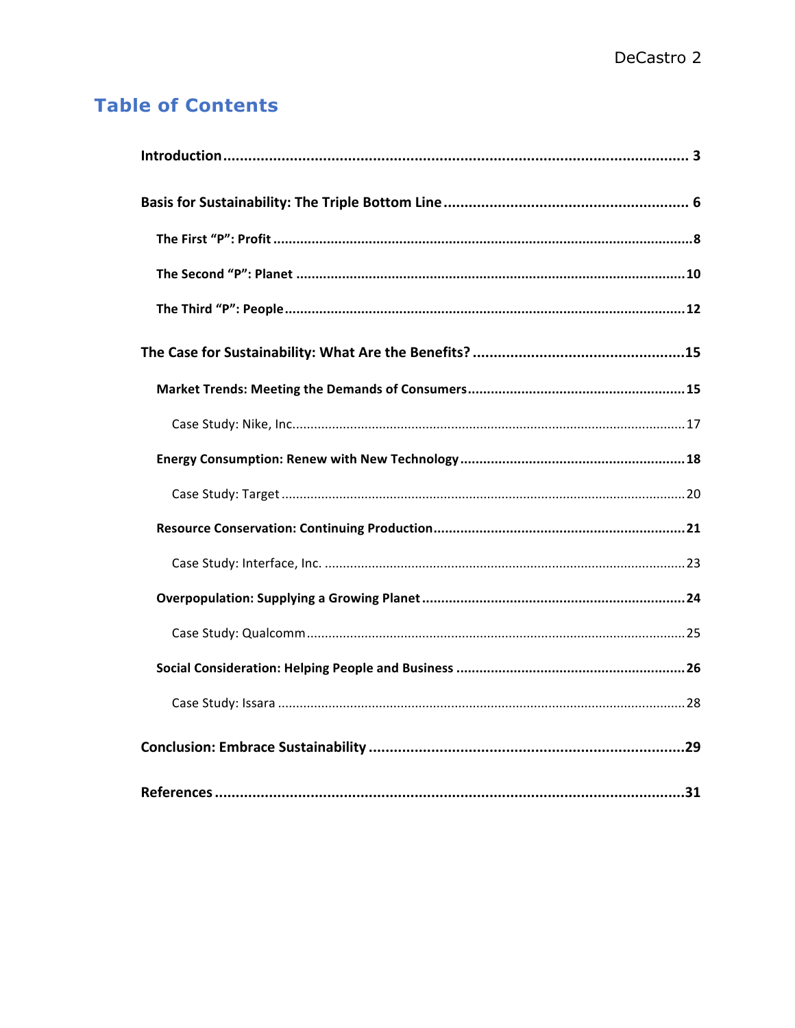# **Table of Contents**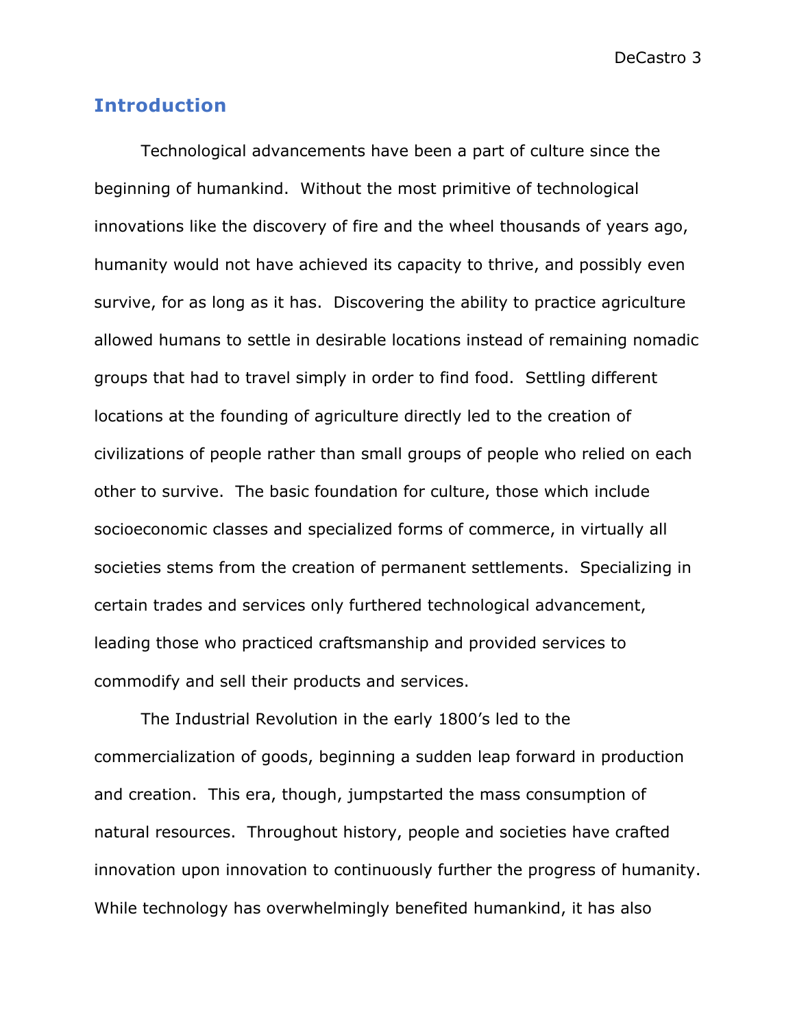# **Introduction**

Technological advancements have been a part of culture since the beginning of humankind. Without the most primitive of technological innovations like the discovery of fire and the wheel thousands of years ago, humanity would not have achieved its capacity to thrive, and possibly even survive, for as long as it has. Discovering the ability to practice agriculture allowed humans to settle in desirable locations instead of remaining nomadic groups that had to travel simply in order to find food. Settling different locations at the founding of agriculture directly led to the creation of civilizations of people rather than small groups of people who relied on each other to survive. The basic foundation for culture, those which include socioeconomic classes and specialized forms of commerce, in virtually all societies stems from the creation of permanent settlements. Specializing in certain trades and services only furthered technological advancement, leading those who practiced craftsmanship and provided services to commodify and sell their products and services.

The Industrial Revolution in the early 1800's led to the commercialization of goods, beginning a sudden leap forward in production and creation. This era, though, jumpstarted the mass consumption of natural resources. Throughout history, people and societies have crafted innovation upon innovation to continuously further the progress of humanity. While technology has overwhelmingly benefited humankind, it has also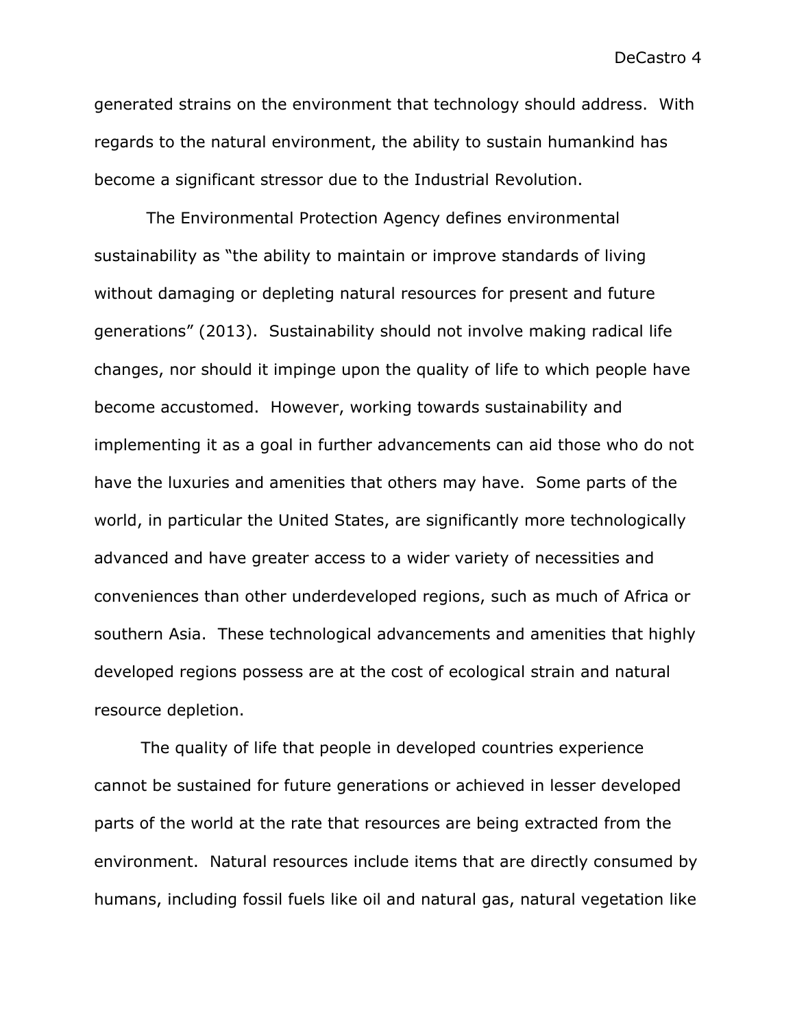generated strains on the environment that technology should address. With regards to the natural environment, the ability to sustain humankind has become a significant stressor due to the Industrial Revolution.

The Environmental Protection Agency defines environmental sustainability as "the ability to maintain or improve standards of living without damaging or depleting natural resources for present and future generations" (2013). Sustainability should not involve making radical life changes, nor should it impinge upon the quality of life to which people have become accustomed. However, working towards sustainability and implementing it as a goal in further advancements can aid those who do not have the luxuries and amenities that others may have. Some parts of the world, in particular the United States, are significantly more technologically advanced and have greater access to a wider variety of necessities and conveniences than other underdeveloped regions, such as much of Africa or southern Asia. These technological advancements and amenities that highly developed regions possess are at the cost of ecological strain and natural resource depletion.

The quality of life that people in developed countries experience cannot be sustained for future generations or achieved in lesser developed parts of the world at the rate that resources are being extracted from the environment. Natural resources include items that are directly consumed by humans, including fossil fuels like oil and natural gas, natural vegetation like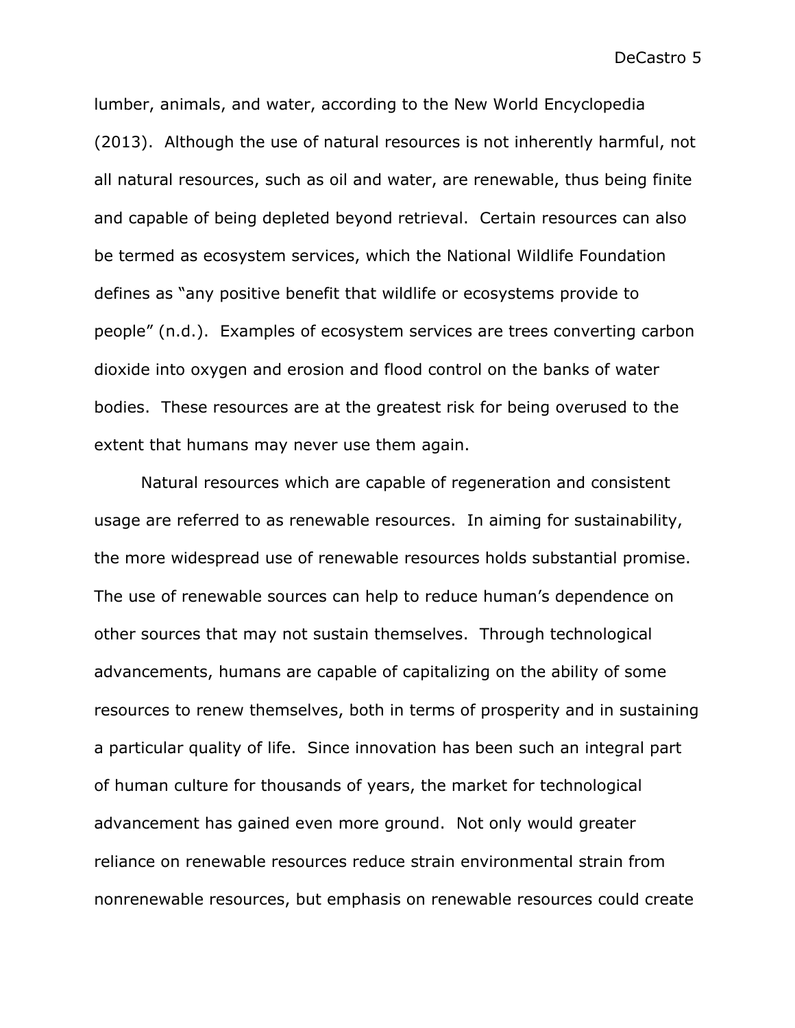lumber, animals, and water, according to the New World Encyclopedia (2013). Although the use of natural resources is not inherently harmful, not all natural resources, such as oil and water, are renewable, thus being finite and capable of being depleted beyond retrieval. Certain resources can also be termed as ecosystem services, which the National Wildlife Foundation defines as "any positive benefit that wildlife or ecosystems provide to people" (n.d.). Examples of ecosystem services are trees converting carbon dioxide into oxygen and erosion and flood control on the banks of water bodies. These resources are at the greatest risk for being overused to the extent that humans may never use them again.

Natural resources which are capable of regeneration and consistent usage are referred to as renewable resources. In aiming for sustainability, the more widespread use of renewable resources holds substantial promise. The use of renewable sources can help to reduce human's dependence on other sources that may not sustain themselves. Through technological advancements, humans are capable of capitalizing on the ability of some resources to renew themselves, both in terms of prosperity and in sustaining a particular quality of life. Since innovation has been such an integral part of human culture for thousands of years, the market for technological advancement has gained even more ground. Not only would greater reliance on renewable resources reduce strain environmental strain from nonrenewable resources, but emphasis on renewable resources could create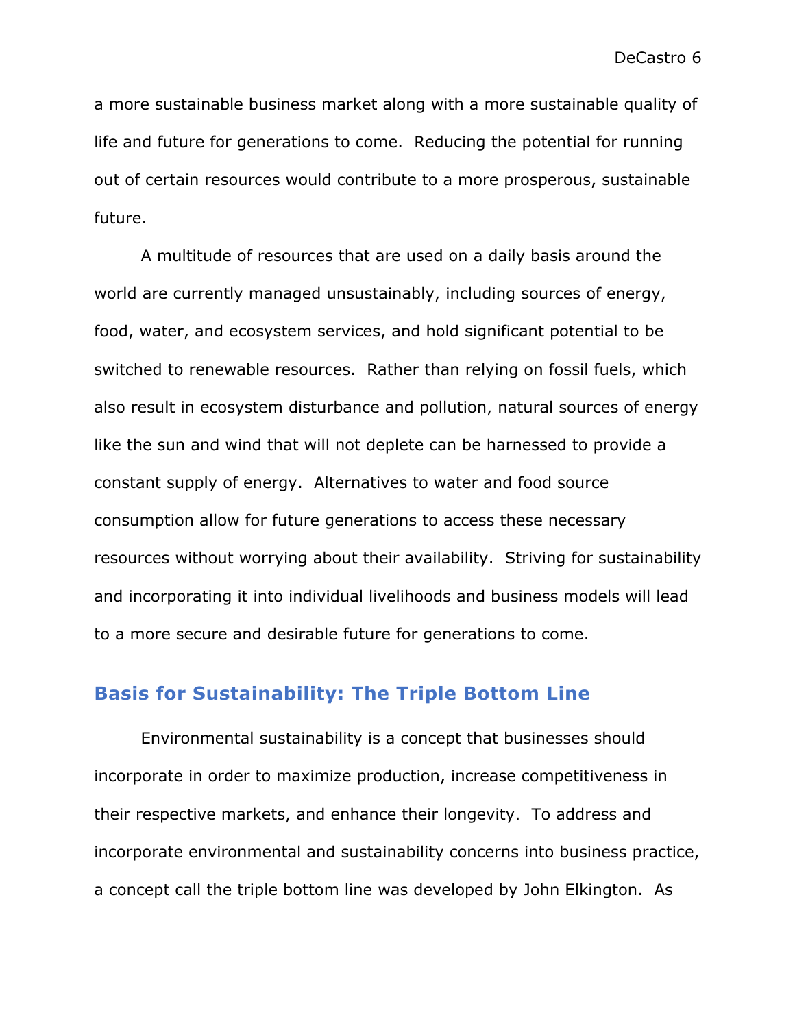a more sustainable business market along with a more sustainable quality of life and future for generations to come. Reducing the potential for running out of certain resources would contribute to a more prosperous, sustainable future.

A multitude of resources that are used on a daily basis around the world are currently managed unsustainably, including sources of energy, food, water, and ecosystem services, and hold significant potential to be switched to renewable resources. Rather than relying on fossil fuels, which also result in ecosystem disturbance and pollution, natural sources of energy like the sun and wind that will not deplete can be harnessed to provide a constant supply of energy. Alternatives to water and food source consumption allow for future generations to access these necessary resources without worrying about their availability. Striving for sustainability and incorporating it into individual livelihoods and business models will lead to a more secure and desirable future for generations to come.

## **Basis for Sustainability: The Triple Bottom Line**

Environmental sustainability is a concept that businesses should incorporate in order to maximize production, increase competitiveness in their respective markets, and enhance their longevity. To address and incorporate environmental and sustainability concerns into business practice, a concept call the triple bottom line was developed by John Elkington. As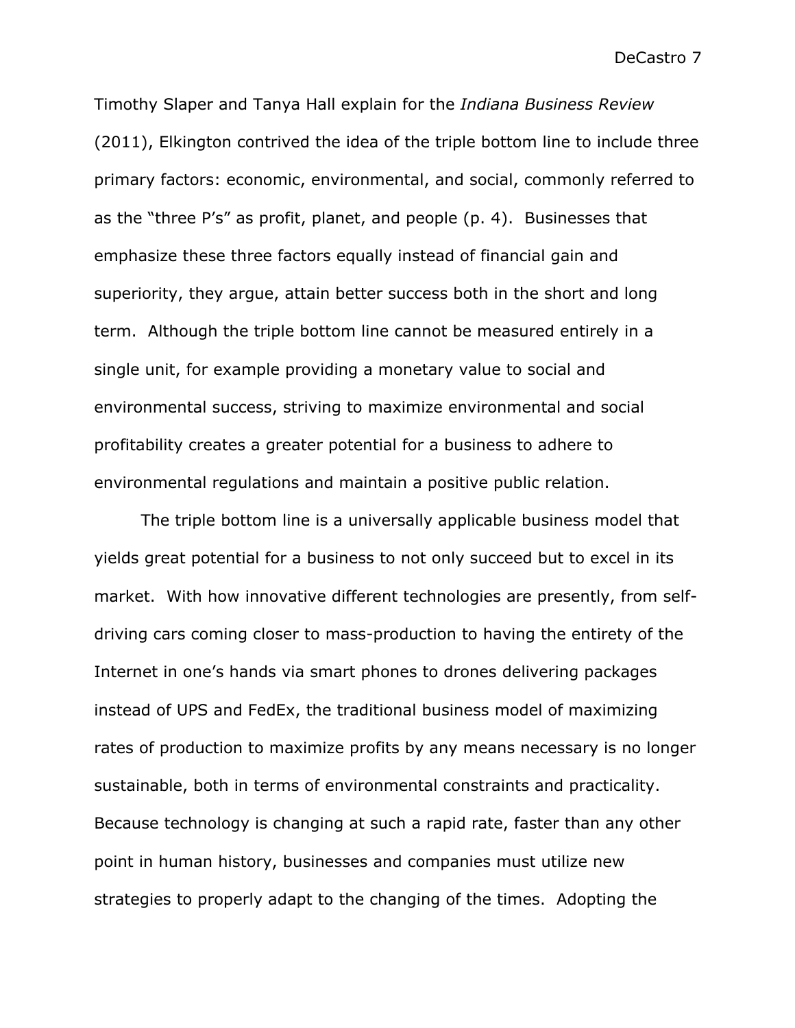Timothy Slaper and Tanya Hall explain for the *Indiana Business Review* (2011), Elkington contrived the idea of the triple bottom line to include three primary factors: economic, environmental, and social, commonly referred to as the "three P's" as profit, planet, and people (p. 4). Businesses that emphasize these three factors equally instead of financial gain and superiority, they argue, attain better success both in the short and long term. Although the triple bottom line cannot be measured entirely in a single unit, for example providing a monetary value to social and environmental success, striving to maximize environmental and social profitability creates a greater potential for a business to adhere to environmental regulations and maintain a positive public relation.

The triple bottom line is a universally applicable business model that yields great potential for a business to not only succeed but to excel in its market. With how innovative different technologies are presently, from selfdriving cars coming closer to mass-production to having the entirety of the Internet in one's hands via smart phones to drones delivering packages instead of UPS and FedEx, the traditional business model of maximizing rates of production to maximize profits by any means necessary is no longer sustainable, both in terms of environmental constraints and practicality. Because technology is changing at such a rapid rate, faster than any other point in human history, businesses and companies must utilize new strategies to properly adapt to the changing of the times. Adopting the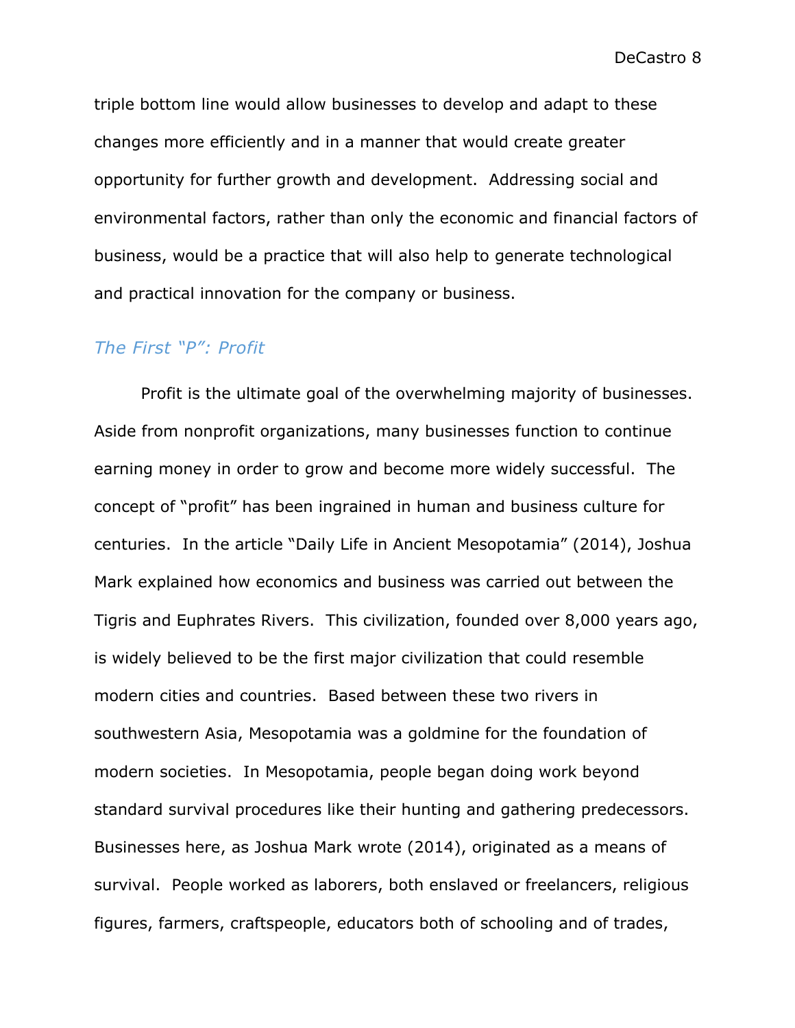triple bottom line would allow businesses to develop and adapt to these changes more efficiently and in a manner that would create greater opportunity for further growth and development. Addressing social and environmental factors, rather than only the economic and financial factors of business, would be a practice that will also help to generate technological and practical innovation for the company or business.

# *The First "P": Profit*

Profit is the ultimate goal of the overwhelming majority of businesses. Aside from nonprofit organizations, many businesses function to continue earning money in order to grow and become more widely successful. The concept of "profit" has been ingrained in human and business culture for centuries. In the article "Daily Life in Ancient Mesopotamia" (2014), Joshua Mark explained how economics and business was carried out between the Tigris and Euphrates Rivers. This civilization, founded over 8,000 years ago, is widely believed to be the first major civilization that could resemble modern cities and countries. Based between these two rivers in southwestern Asia, Mesopotamia was a goldmine for the foundation of modern societies. In Mesopotamia, people began doing work beyond standard survival procedures like their hunting and gathering predecessors. Businesses here, as Joshua Mark wrote (2014), originated as a means of survival. People worked as laborers, both enslaved or freelancers, religious figures, farmers, craftspeople, educators both of schooling and of trades,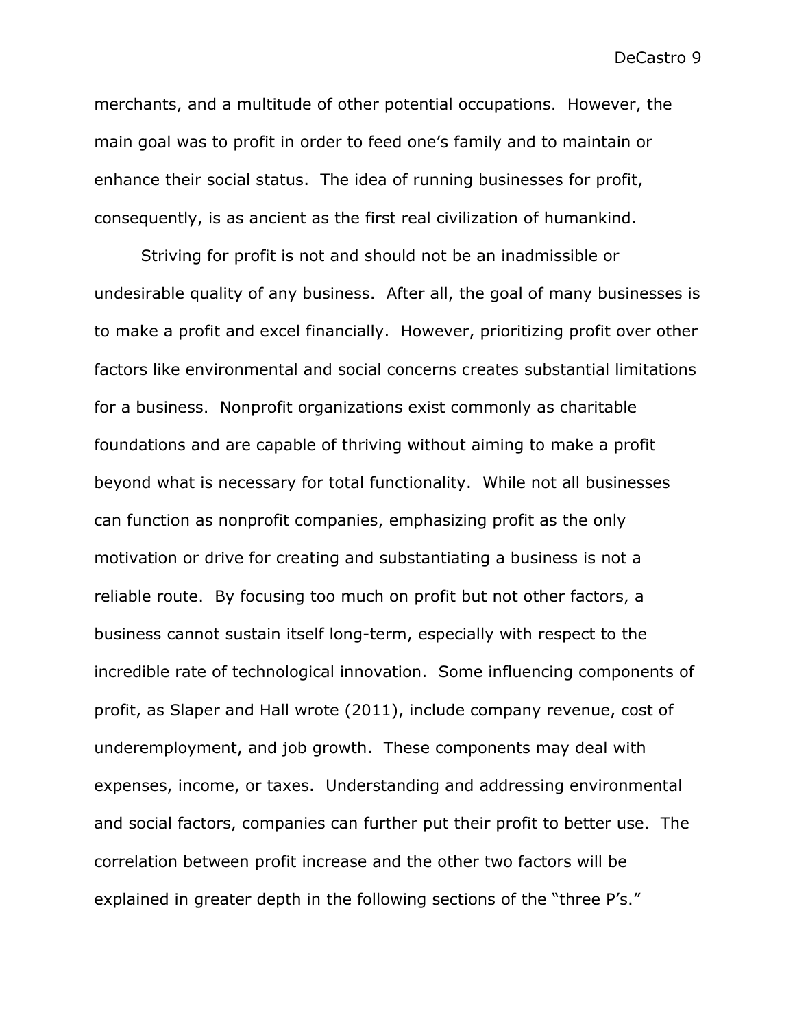merchants, and a multitude of other potential occupations. However, the main goal was to profit in order to feed one's family and to maintain or enhance their social status. The idea of running businesses for profit, consequently, is as ancient as the first real civilization of humankind.

Striving for profit is not and should not be an inadmissible or undesirable quality of any business. After all, the goal of many businesses is to make a profit and excel financially. However, prioritizing profit over other factors like environmental and social concerns creates substantial limitations for a business. Nonprofit organizations exist commonly as charitable foundations and are capable of thriving without aiming to make a profit beyond what is necessary for total functionality. While not all businesses can function as nonprofit companies, emphasizing profit as the only motivation or drive for creating and substantiating a business is not a reliable route. By focusing too much on profit but not other factors, a business cannot sustain itself long-term, especially with respect to the incredible rate of technological innovation. Some influencing components of profit, as Slaper and Hall wrote (2011), include company revenue, cost of underemployment, and job growth. These components may deal with expenses, income, or taxes. Understanding and addressing environmental and social factors, companies can further put their profit to better use. The correlation between profit increase and the other two factors will be explained in greater depth in the following sections of the "three P's."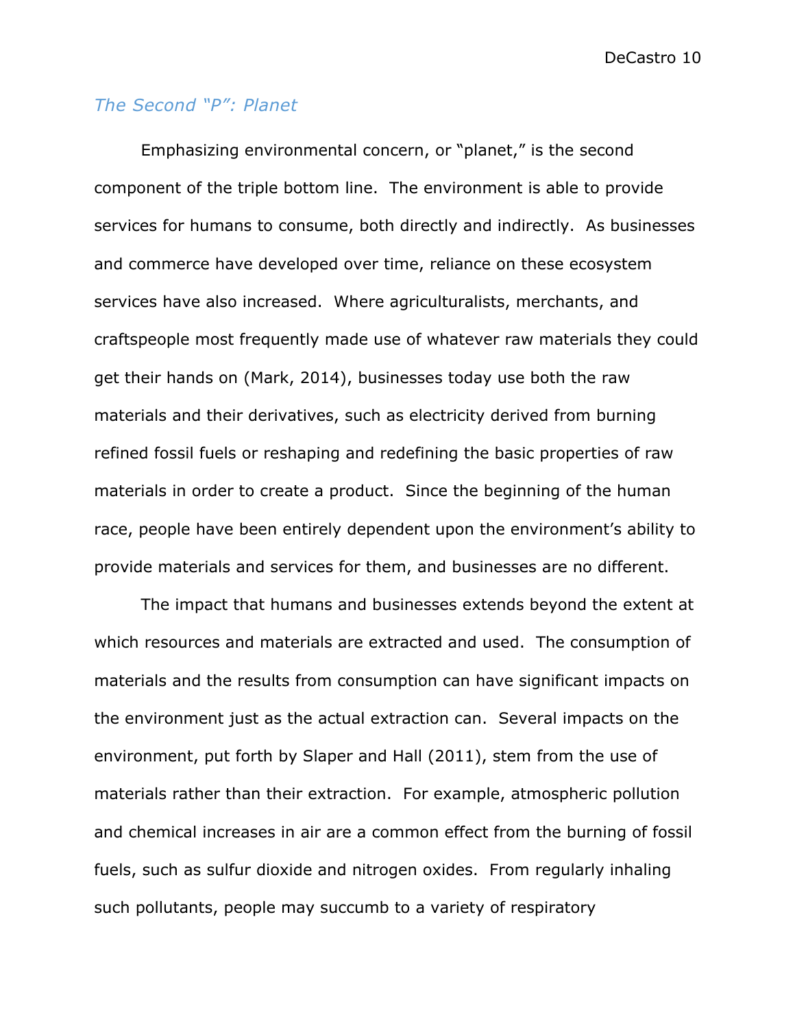# *The Second "P": Planet*

Emphasizing environmental concern, or "planet," is the second component of the triple bottom line. The environment is able to provide services for humans to consume, both directly and indirectly. As businesses and commerce have developed over time, reliance on these ecosystem services have also increased. Where agriculturalists, merchants, and craftspeople most frequently made use of whatever raw materials they could get their hands on (Mark, 2014), businesses today use both the raw materials and their derivatives, such as electricity derived from burning refined fossil fuels or reshaping and redefining the basic properties of raw materials in order to create a product. Since the beginning of the human race, people have been entirely dependent upon the environment's ability to provide materials and services for them, and businesses are no different.

The impact that humans and businesses extends beyond the extent at which resources and materials are extracted and used. The consumption of materials and the results from consumption can have significant impacts on the environment just as the actual extraction can. Several impacts on the environment, put forth by Slaper and Hall (2011), stem from the use of materials rather than their extraction. For example, atmospheric pollution and chemical increases in air are a common effect from the burning of fossil fuels, such as sulfur dioxide and nitrogen oxides. From regularly inhaling such pollutants, people may succumb to a variety of respiratory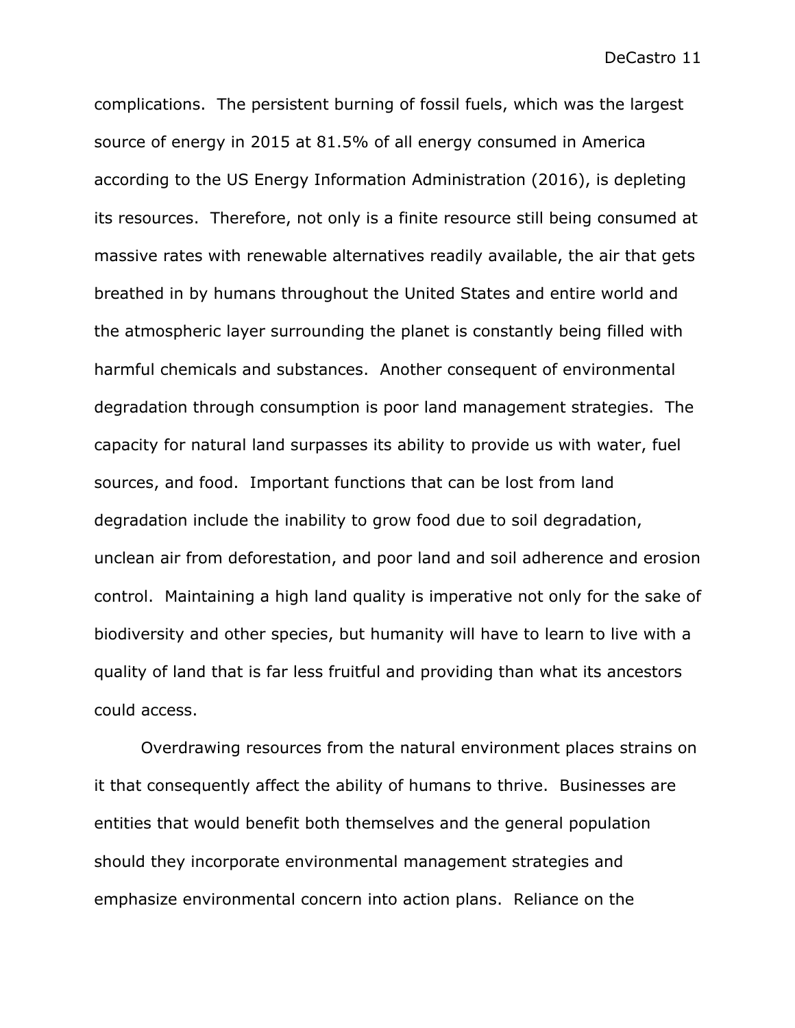complications. The persistent burning of fossil fuels, which was the largest source of energy in 2015 at 81.5% of all energy consumed in America according to the US Energy Information Administration (2016), is depleting its resources. Therefore, not only is a finite resource still being consumed at massive rates with renewable alternatives readily available, the air that gets breathed in by humans throughout the United States and entire world and the atmospheric layer surrounding the planet is constantly being filled with harmful chemicals and substances. Another consequent of environmental degradation through consumption is poor land management strategies. The capacity for natural land surpasses its ability to provide us with water, fuel sources, and food. Important functions that can be lost from land degradation include the inability to grow food due to soil degradation, unclean air from deforestation, and poor land and soil adherence and erosion control. Maintaining a high land quality is imperative not only for the sake of biodiversity and other species, but humanity will have to learn to live with a quality of land that is far less fruitful and providing than what its ancestors could access.

Overdrawing resources from the natural environment places strains on it that consequently affect the ability of humans to thrive. Businesses are entities that would benefit both themselves and the general population should they incorporate environmental management strategies and emphasize environmental concern into action plans. Reliance on the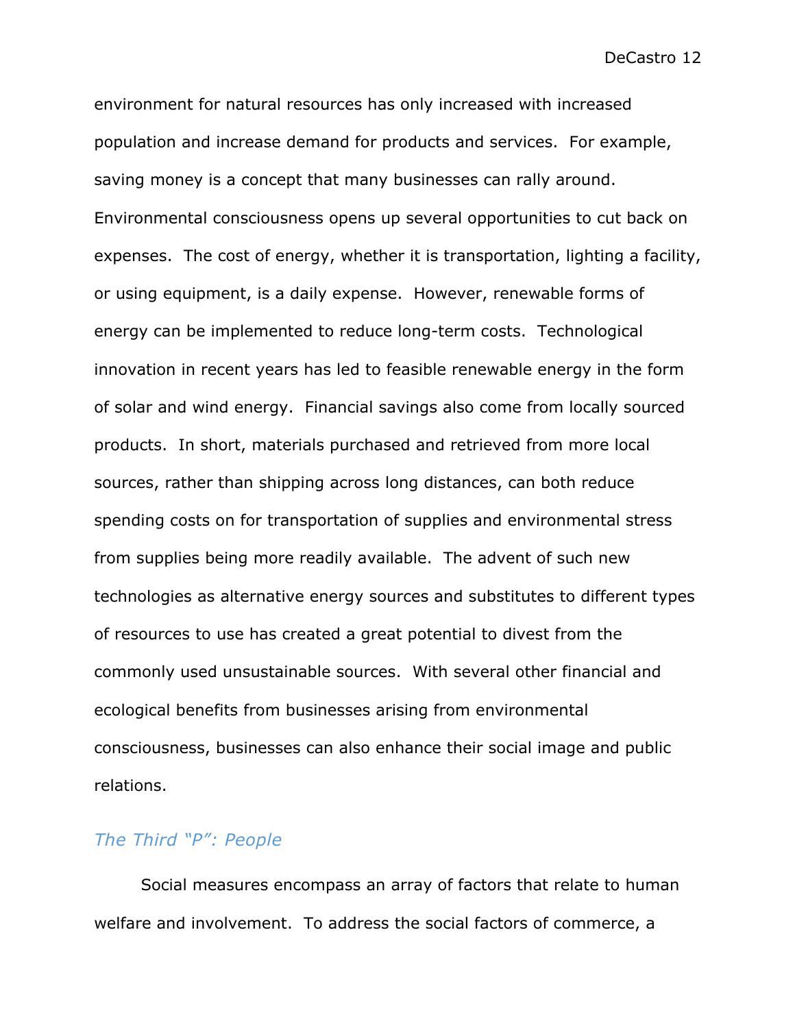environment for natural resources has only increased with increased population and increase demand for products and services. For example, saving money is a concept that many businesses can rally around. Environmental consciousness opens up several opportunities to cut back on expenses. The cost of energy, whether it is transportation, lighting a facility, or using equipment, is a daily expense. However, renewable forms of energy can be implemented to reduce long-term costs. Technological innovation in recent years has led to feasible renewable energy in the form of solar and wind energy. Financial savings also come from locally sourced products. In short, materials purchased and retrieved from more local sources, rather than shipping across long distances, can both reduce spending costs on for transportation of supplies and environmental stress from supplies being more readily available. The advent of such new technologies as alternative energy sources and substitutes to different types of resources to use has created a great potential to divest from the commonly used unsustainable sources. With several other financial and ecological benefits from businesses arising from environmental consciousness, businesses can also enhance their social image and public relations.

# *The Third "P": People*

Social measures encompass an array of factors that relate to human welfare and involvement. To address the social factors of commerce, a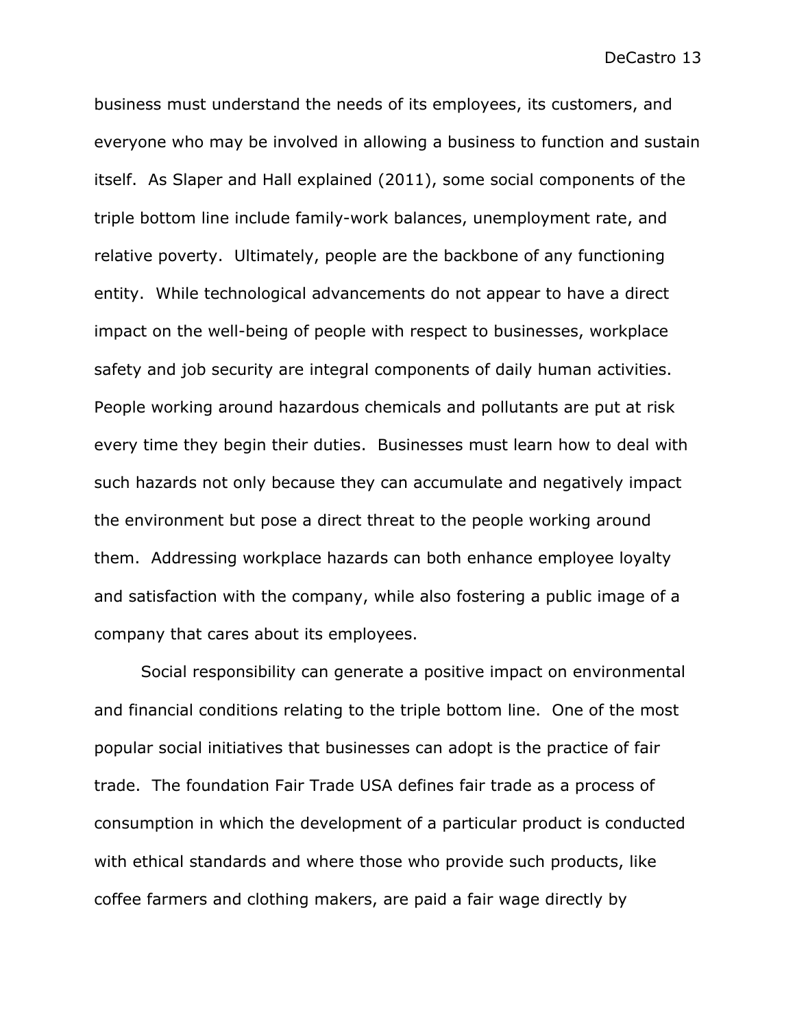business must understand the needs of its employees, its customers, and everyone who may be involved in allowing a business to function and sustain itself. As Slaper and Hall explained (2011), some social components of the triple bottom line include family-work balances, unemployment rate, and relative poverty. Ultimately, people are the backbone of any functioning entity. While technological advancements do not appear to have a direct impact on the well-being of people with respect to businesses, workplace safety and job security are integral components of daily human activities. People working around hazardous chemicals and pollutants are put at risk every time they begin their duties. Businesses must learn how to deal with such hazards not only because they can accumulate and negatively impact the environment but pose a direct threat to the people working around them. Addressing workplace hazards can both enhance employee loyalty and satisfaction with the company, while also fostering a public image of a company that cares about its employees.

Social responsibility can generate a positive impact on environmental and financial conditions relating to the triple bottom line. One of the most popular social initiatives that businesses can adopt is the practice of fair trade. The foundation Fair Trade USA defines fair trade as a process of consumption in which the development of a particular product is conducted with ethical standards and where those who provide such products, like coffee farmers and clothing makers, are paid a fair wage directly by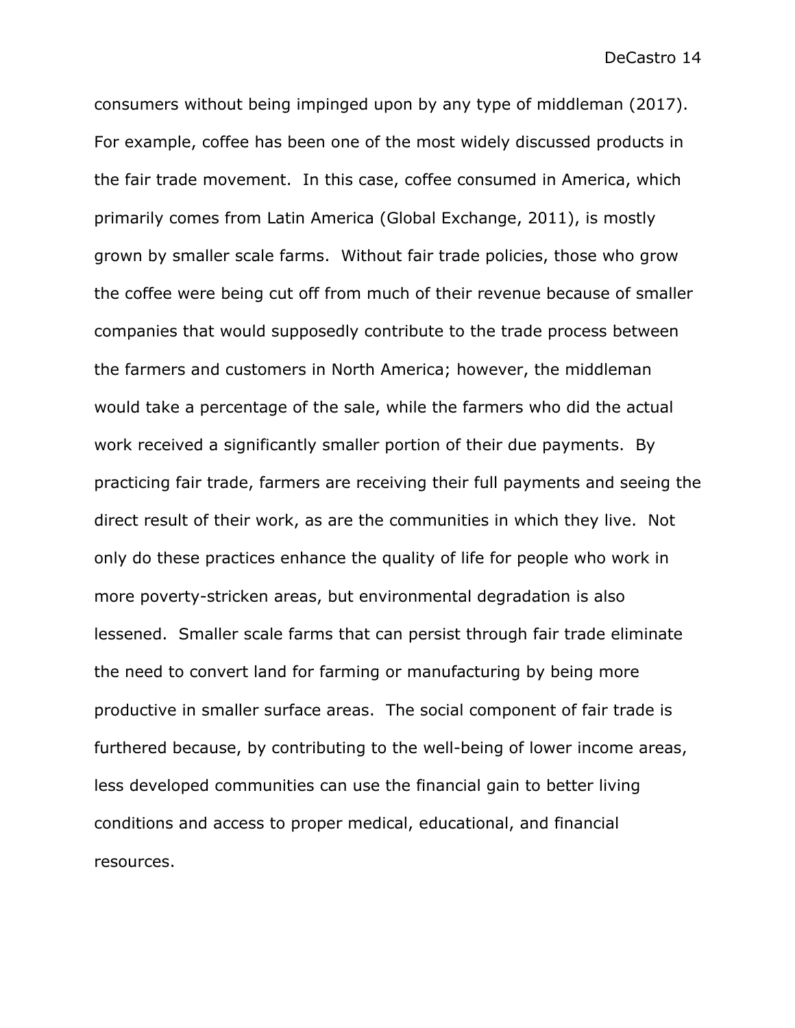consumers without being impinged upon by any type of middleman (2017). For example, coffee has been one of the most widely discussed products in the fair trade movement. In this case, coffee consumed in America, which primarily comes from Latin America (Global Exchange, 2011), is mostly grown by smaller scale farms. Without fair trade policies, those who grow the coffee were being cut off from much of their revenue because of smaller companies that would supposedly contribute to the trade process between the farmers and customers in North America; however, the middleman would take a percentage of the sale, while the farmers who did the actual work received a significantly smaller portion of their due payments. By practicing fair trade, farmers are receiving their full payments and seeing the direct result of their work, as are the communities in which they live. Not only do these practices enhance the quality of life for people who work in more poverty-stricken areas, but environmental degradation is also lessened. Smaller scale farms that can persist through fair trade eliminate the need to convert land for farming or manufacturing by being more productive in smaller surface areas. The social component of fair trade is furthered because, by contributing to the well-being of lower income areas, less developed communities can use the financial gain to better living conditions and access to proper medical, educational, and financial resources.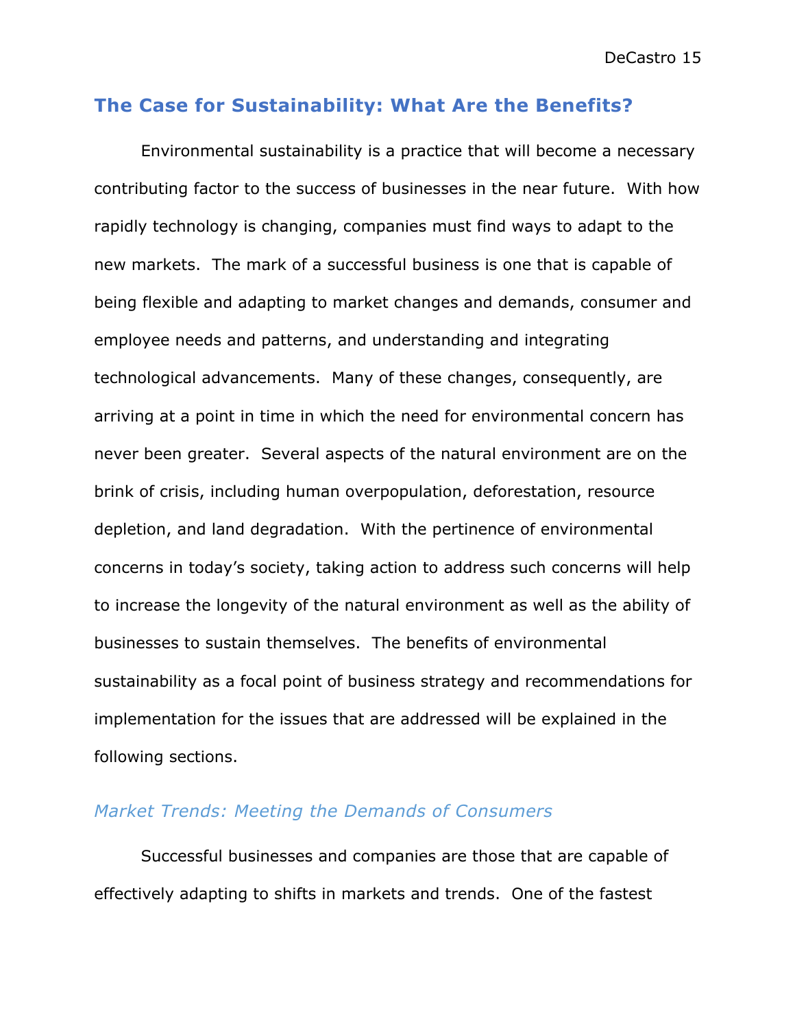# **The Case for Sustainability: What Are the Benefits?**

Environmental sustainability is a practice that will become a necessary contributing factor to the success of businesses in the near future. With how rapidly technology is changing, companies must find ways to adapt to the new markets. The mark of a successful business is one that is capable of being flexible and adapting to market changes and demands, consumer and employee needs and patterns, and understanding and integrating technological advancements. Many of these changes, consequently, are arriving at a point in time in which the need for environmental concern has never been greater. Several aspects of the natural environment are on the brink of crisis, including human overpopulation, deforestation, resource depletion, and land degradation. With the pertinence of environmental concerns in today's society, taking action to address such concerns will help to increase the longevity of the natural environment as well as the ability of businesses to sustain themselves. The benefits of environmental sustainability as a focal point of business strategy and recommendations for implementation for the issues that are addressed will be explained in the following sections.

## *Market Trends: Meeting the Demands of Consumers*

Successful businesses and companies are those that are capable of effectively adapting to shifts in markets and trends. One of the fastest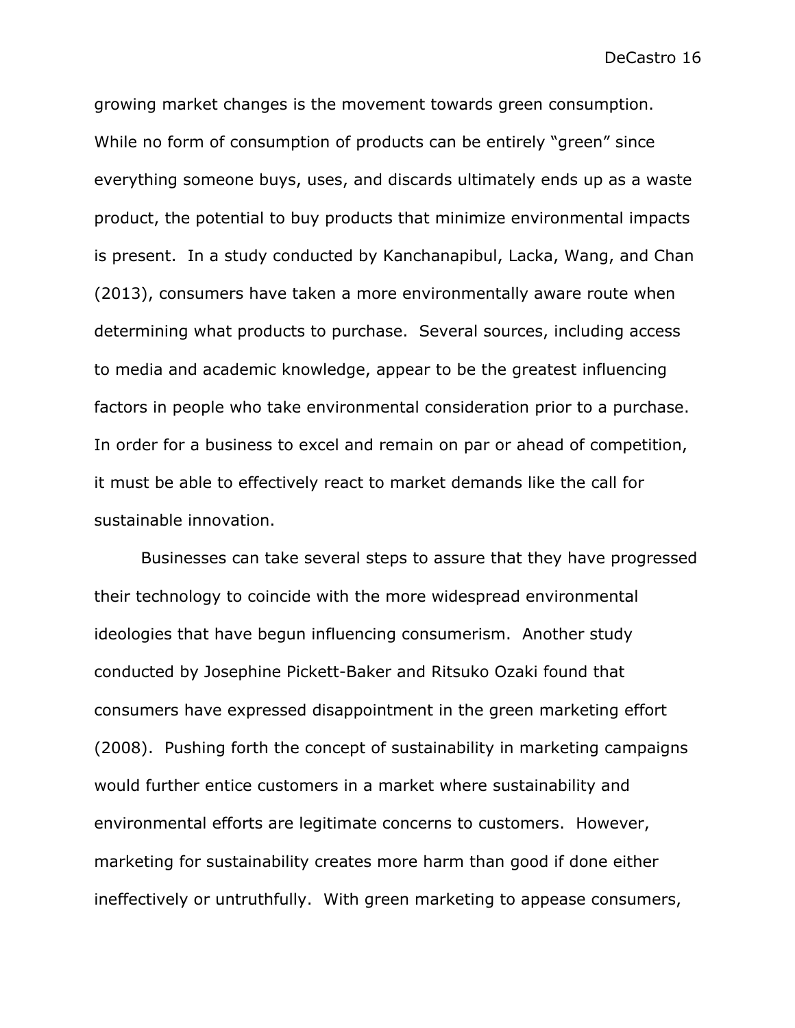growing market changes is the movement towards green consumption. While no form of consumption of products can be entirely "green" since everything someone buys, uses, and discards ultimately ends up as a waste product, the potential to buy products that minimize environmental impacts is present. In a study conducted by Kanchanapibul, Lacka, Wang, and Chan (2013), consumers have taken a more environmentally aware route when determining what products to purchase. Several sources, including access to media and academic knowledge, appear to be the greatest influencing factors in people who take environmental consideration prior to a purchase. In order for a business to excel and remain on par or ahead of competition, it must be able to effectively react to market demands like the call for sustainable innovation.

Businesses can take several steps to assure that they have progressed their technology to coincide with the more widespread environmental ideologies that have begun influencing consumerism. Another study conducted by Josephine Pickett-Baker and Ritsuko Ozaki found that consumers have expressed disappointment in the green marketing effort (2008). Pushing forth the concept of sustainability in marketing campaigns would further entice customers in a market where sustainability and environmental efforts are legitimate concerns to customers. However, marketing for sustainability creates more harm than good if done either ineffectively or untruthfully. With green marketing to appease consumers,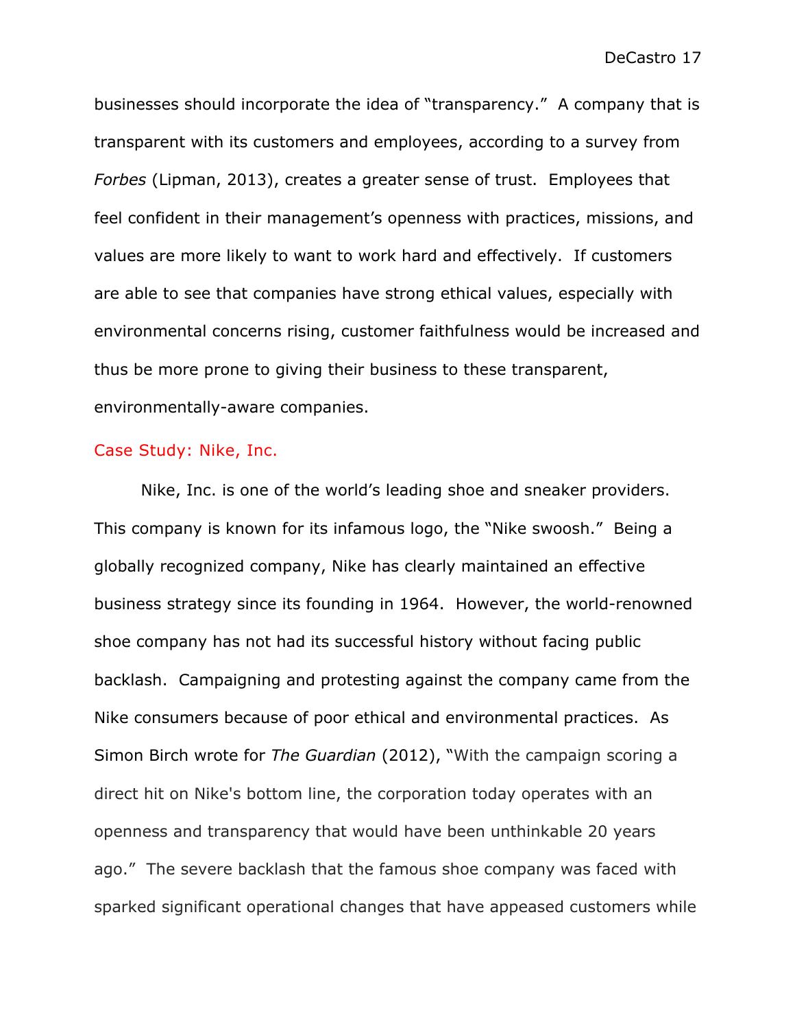businesses should incorporate the idea of "transparency." A company that is transparent with its customers and employees, according to a survey from *Forbes* (Lipman, 2013), creates a greater sense of trust. Employees that feel confident in their management's openness with practices, missions, and values are more likely to want to work hard and effectively. If customers are able to see that companies have strong ethical values, especially with environmental concerns rising, customer faithfulness would be increased and thus be more prone to giving their business to these transparent, environmentally-aware companies.

#### Case Study: Nike, Inc.

Nike, Inc. is one of the world's leading shoe and sneaker providers. This company is known for its infamous logo, the "Nike swoosh." Being a globally recognized company, Nike has clearly maintained an effective business strategy since its founding in 1964. However, the world-renowned shoe company has not had its successful history without facing public backlash. Campaigning and protesting against the company came from the Nike consumers because of poor ethical and environmental practices. As Simon Birch wrote for *The Guardian* (2012), "With the campaign scoring a direct hit on Nike's bottom line, the corporation today operates with an openness and transparency that would have been unthinkable 20 years ago." The severe backlash that the famous shoe company was faced with sparked significant operational changes that have appeased customers while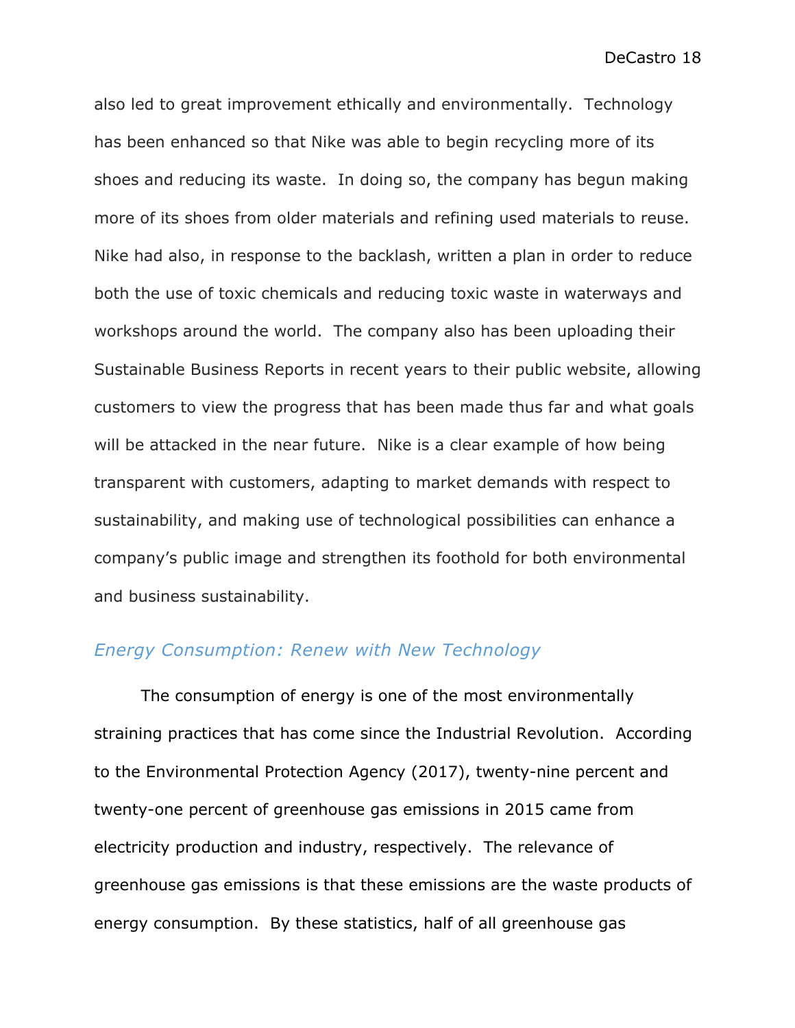also led to great improvement ethically and environmentally. Technology has been enhanced so that Nike was able to begin recycling more of its shoes and reducing its waste. In doing so, the company has begun making more of its shoes from older materials and refining used materials to reuse. Nike had also, in response to the backlash, written a plan in order to reduce both the use of toxic chemicals and reducing toxic waste in waterways and workshops around the world. The company also has been uploading their Sustainable Business Reports in recent years to their public website, allowing customers to view the progress that has been made thus far and what goals will be attacked in the near future. Nike is a clear example of how being transparent with customers, adapting to market demands with respect to sustainability, and making use of technological possibilities can enhance a company's public image and strengthen its foothold for both environmental and business sustainability.

### *Energy Consumption: Renew with New Technology*

The consumption of energy is one of the most environmentally straining practices that has come since the Industrial Revolution. According to the Environmental Protection Agency (2017), twenty-nine percent and twenty-one percent of greenhouse gas emissions in 2015 came from electricity production and industry, respectively. The relevance of greenhouse gas emissions is that these emissions are the waste products of energy consumption. By these statistics, half of all greenhouse gas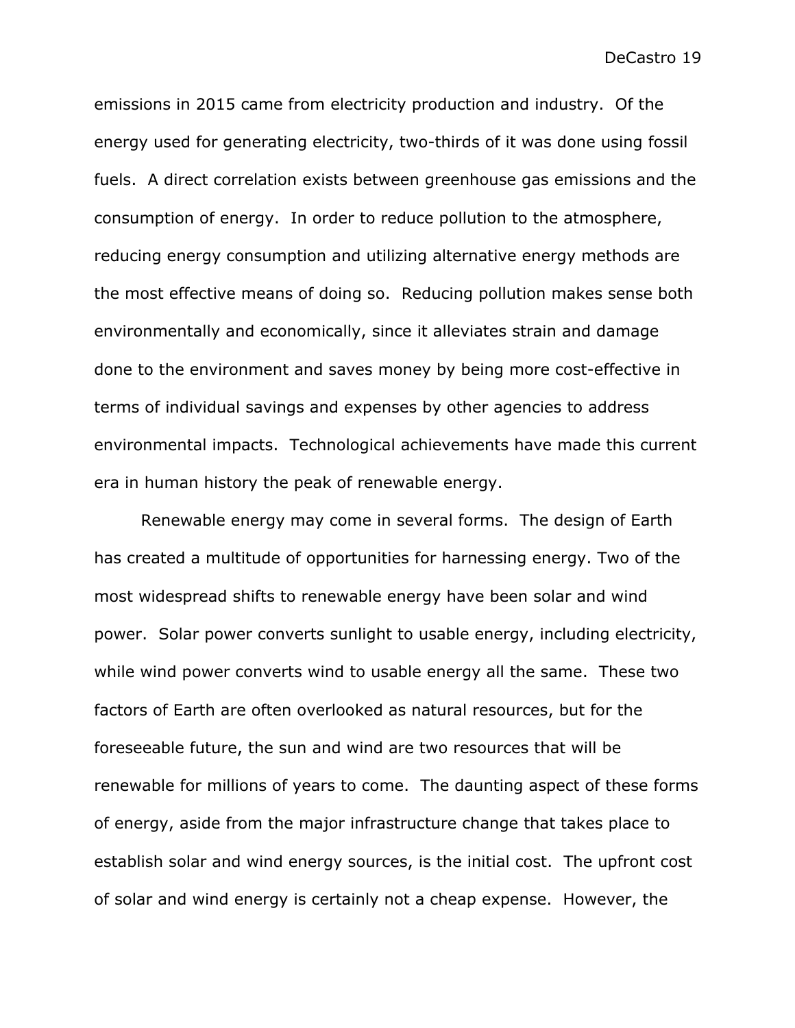emissions in 2015 came from electricity production and industry. Of the energy used for generating electricity, two-thirds of it was done using fossil fuels. A direct correlation exists between greenhouse gas emissions and the consumption of energy. In order to reduce pollution to the atmosphere, reducing energy consumption and utilizing alternative energy methods are the most effective means of doing so. Reducing pollution makes sense both environmentally and economically, since it alleviates strain and damage done to the environment and saves money by being more cost-effective in terms of individual savings and expenses by other agencies to address environmental impacts. Technological achievements have made this current era in human history the peak of renewable energy.

Renewable energy may come in several forms. The design of Earth has created a multitude of opportunities for harnessing energy. Two of the most widespread shifts to renewable energy have been solar and wind power. Solar power converts sunlight to usable energy, including electricity, while wind power converts wind to usable energy all the same. These two factors of Earth are often overlooked as natural resources, but for the foreseeable future, the sun and wind are two resources that will be renewable for millions of years to come. The daunting aspect of these forms of energy, aside from the major infrastructure change that takes place to establish solar and wind energy sources, is the initial cost. The upfront cost of solar and wind energy is certainly not a cheap expense. However, the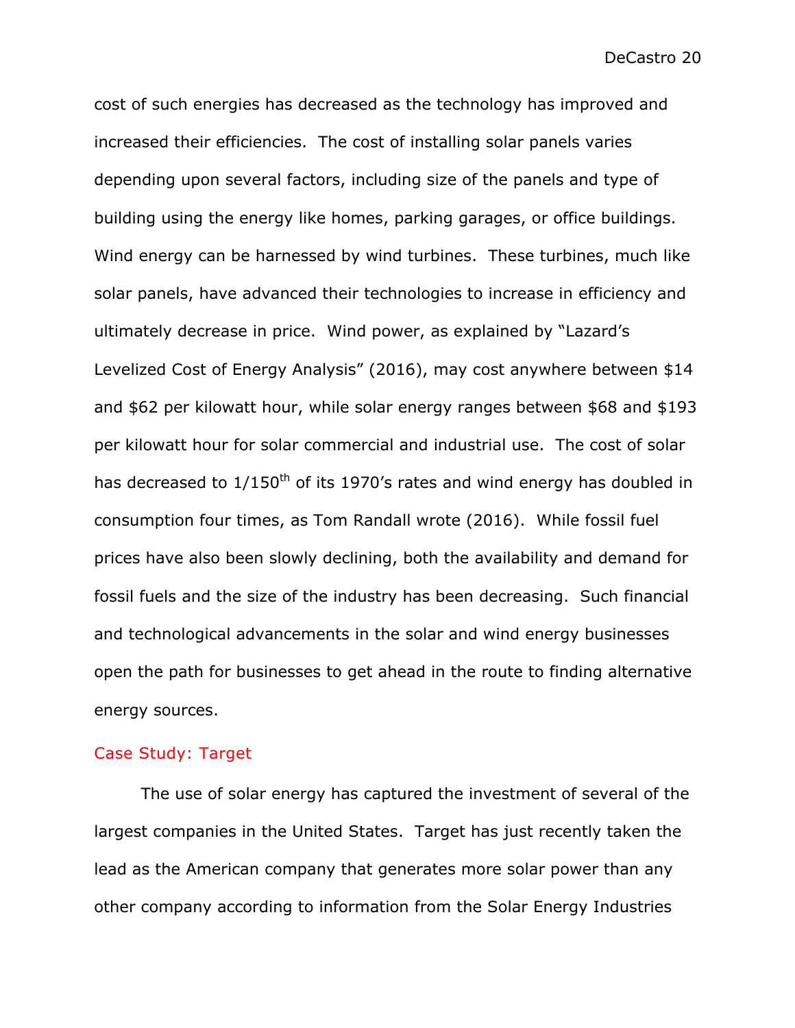cost of such energies has decreased as the technology has improved and increased their efficiencies. The cost of installing solar panels varies depending upon several factors, including size of the panels and type of building using the energy like homes, parking garages, or office buildings. Wind energy can be harnessed by wind turbines. These turbines, much like solar panels, have advanced their technologies to increase in efficiency and ultimately decrease in price. Wind power, as explained by "Lazard's Levelized Cost of Energy Analysis" (2016), may cost anywhere between \$14 and \$62 per kilowatt hour, while solar energy ranges between \$68 and \$193 per kilowatt hour for solar commercial and industrial use. The cost of solar has decreased to  $1/150^{th}$  of its 1970's rates and wind energy has doubled in consumption four times, as Tom Randall wrote (2016). While fossil fuel prices have also been slowly declining, both the availability and demand for fossil fuels and the size of the industry has been decreasing. Such financial and technological advancements in the solar and wind energy businesses open the path for businesses to get ahead in the route to finding alternative energy sources.

#### Case Study: Target

The use of solar energy has captured the investment of several of the largest companies in the United States. Target has just recently taken the lead as the American company that generates more solar power than any other company according to information from the Solar Energy Industries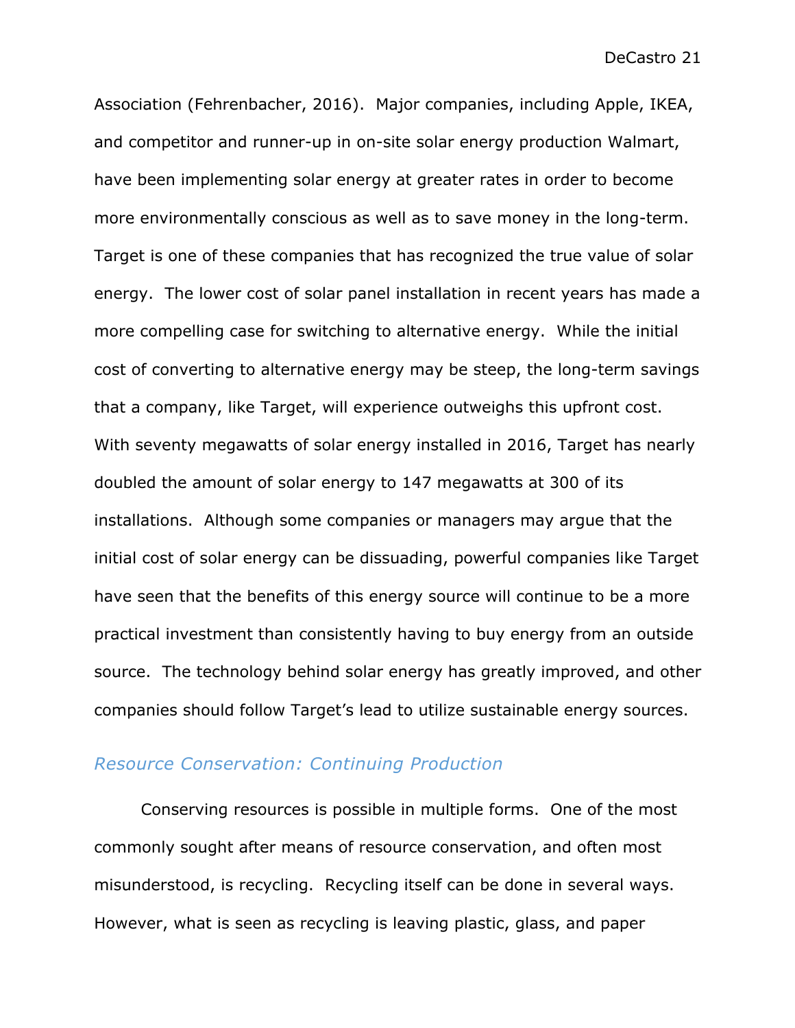Association (Fehrenbacher, 2016). Major companies, including Apple, IKEA, and competitor and runner-up in on-site solar energy production Walmart, have been implementing solar energy at greater rates in order to become more environmentally conscious as well as to save money in the long-term. Target is one of these companies that has recognized the true value of solar energy. The lower cost of solar panel installation in recent years has made a more compelling case for switching to alternative energy. While the initial cost of converting to alternative energy may be steep, the long-term savings that a company, like Target, will experience outweighs this upfront cost. With seventy megawatts of solar energy installed in 2016, Target has nearly doubled the amount of solar energy to 147 megawatts at 300 of its installations. Although some companies or managers may argue that the initial cost of solar energy can be dissuading, powerful companies like Target have seen that the benefits of this energy source will continue to be a more practical investment than consistently having to buy energy from an outside source. The technology behind solar energy has greatly improved, and other companies should follow Target's lead to utilize sustainable energy sources.

## *Resource Conservation: Continuing Production*

Conserving resources is possible in multiple forms. One of the most commonly sought after means of resource conservation, and often most misunderstood, is recycling. Recycling itself can be done in several ways. However, what is seen as recycling is leaving plastic, glass, and paper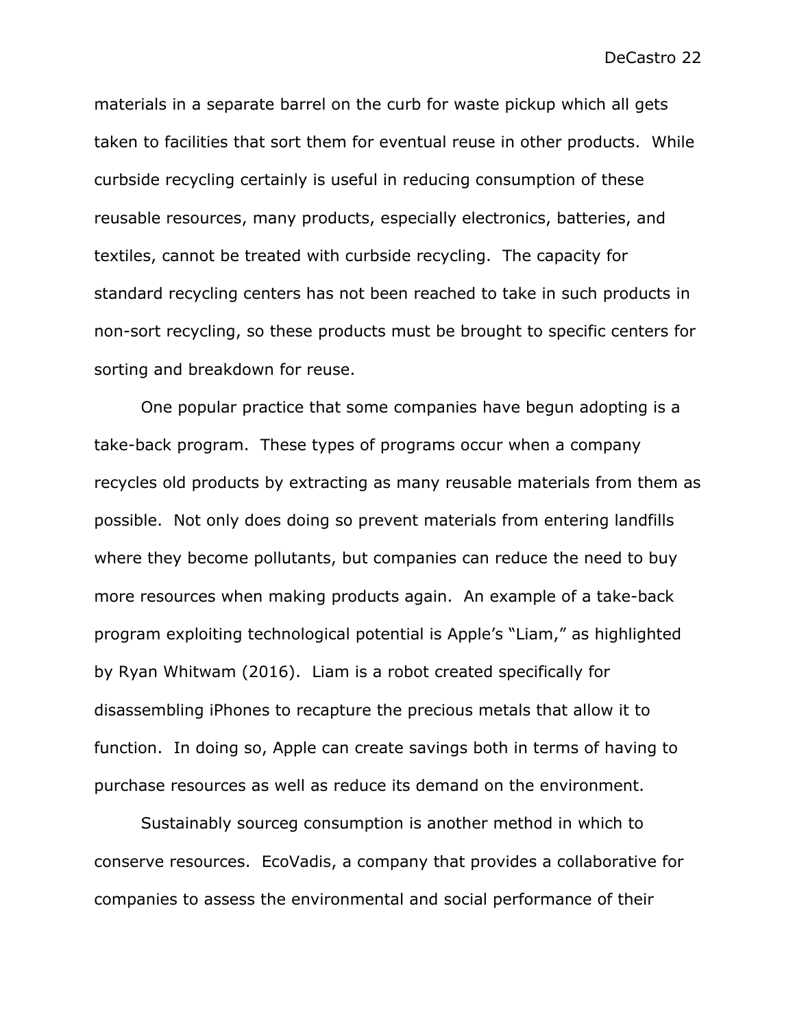materials in a separate barrel on the curb for waste pickup which all gets taken to facilities that sort them for eventual reuse in other products. While curbside recycling certainly is useful in reducing consumption of these reusable resources, many products, especially electronics, batteries, and textiles, cannot be treated with curbside recycling. The capacity for standard recycling centers has not been reached to take in such products in non-sort recycling, so these products must be brought to specific centers for sorting and breakdown for reuse.

One popular practice that some companies have begun adopting is a take-back program. These types of programs occur when a company recycles old products by extracting as many reusable materials from them as possible. Not only does doing so prevent materials from entering landfills where they become pollutants, but companies can reduce the need to buy more resources when making products again. An example of a take-back program exploiting technological potential is Apple's "Liam," as highlighted by Ryan Whitwam (2016). Liam is a robot created specifically for disassembling iPhones to recapture the precious metals that allow it to function. In doing so, Apple can create savings both in terms of having to purchase resources as well as reduce its demand on the environment.

Sustainably sourceg consumption is another method in which to conserve resources. EcoVadis, a company that provides a collaborative for companies to assess the environmental and social performance of their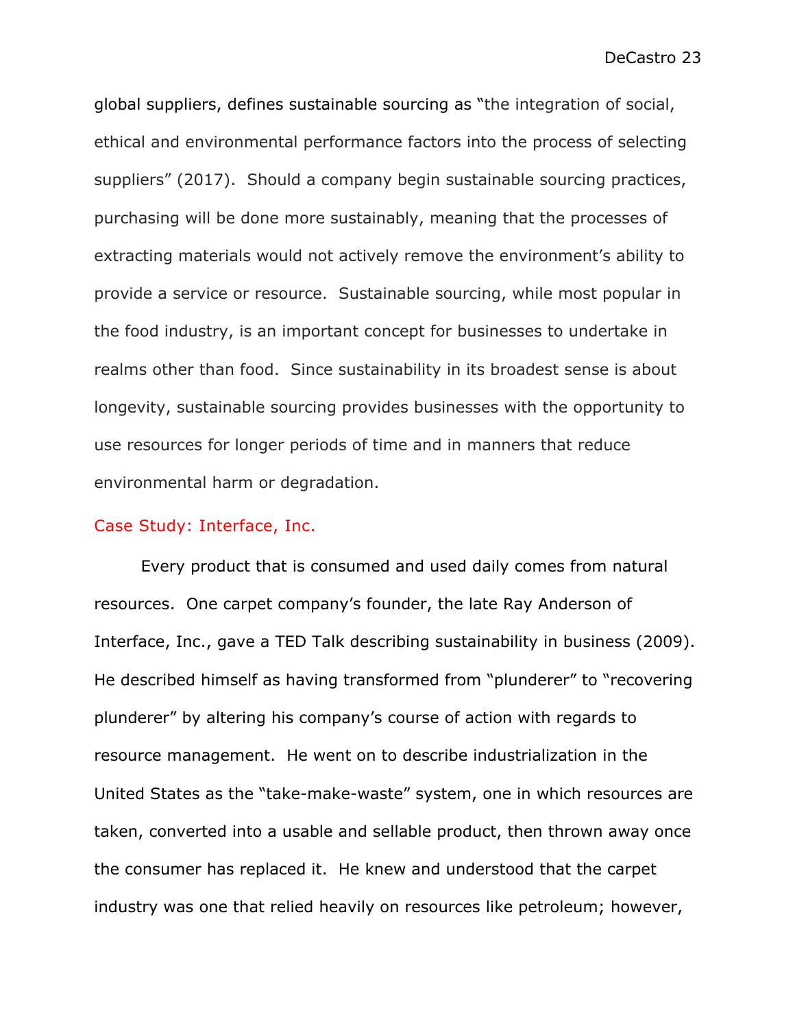global suppliers, defines sustainable sourcing as "the integration of social, ethical and environmental performance factors into the process of selecting suppliers" (2017). Should a company begin sustainable sourcing practices, purchasing will be done more sustainably, meaning that the processes of extracting materials would not actively remove the environment's ability to provide a service or resource. Sustainable sourcing, while most popular in the food industry, is an important concept for businesses to undertake in realms other than food. Since sustainability in its broadest sense is about longevity, sustainable sourcing provides businesses with the opportunity to use resources for longer periods of time and in manners that reduce environmental harm or degradation.

#### Case Study: Interface, Inc.

Every product that is consumed and used daily comes from natural resources. One carpet company's founder, the late Ray Anderson of Interface, Inc., gave a TED Talk describing sustainability in business (2009). He described himself as having transformed from "plunderer" to "recovering plunderer" by altering his company's course of action with regards to resource management. He went on to describe industrialization in the United States as the "take-make-waste" system, one in which resources are taken, converted into a usable and sellable product, then thrown away once the consumer has replaced it. He knew and understood that the carpet industry was one that relied heavily on resources like petroleum; however,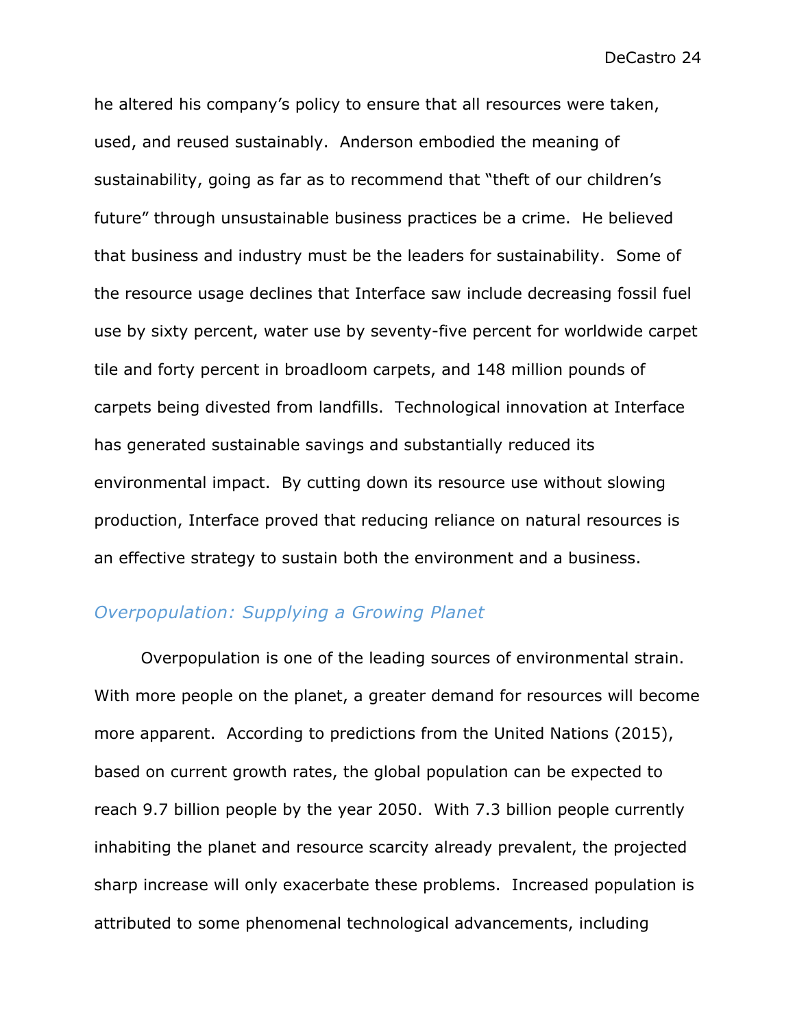he altered his company's policy to ensure that all resources were taken, used, and reused sustainably. Anderson embodied the meaning of sustainability, going as far as to recommend that "theft of our children's future" through unsustainable business practices be a crime. He believed that business and industry must be the leaders for sustainability. Some of the resource usage declines that Interface saw include decreasing fossil fuel use by sixty percent, water use by seventy-five percent for worldwide carpet tile and forty percent in broadloom carpets, and 148 million pounds of carpets being divested from landfills. Technological innovation at Interface has generated sustainable savings and substantially reduced its environmental impact. By cutting down its resource use without slowing production, Interface proved that reducing reliance on natural resources is an effective strategy to sustain both the environment and a business.

# *Overpopulation: Supplying a Growing Planet*

Overpopulation is one of the leading sources of environmental strain. With more people on the planet, a greater demand for resources will become more apparent. According to predictions from the United Nations (2015), based on current growth rates, the global population can be expected to reach 9.7 billion people by the year 2050. With 7.3 billion people currently inhabiting the planet and resource scarcity already prevalent, the projected sharp increase will only exacerbate these problems. Increased population is attributed to some phenomenal technological advancements, including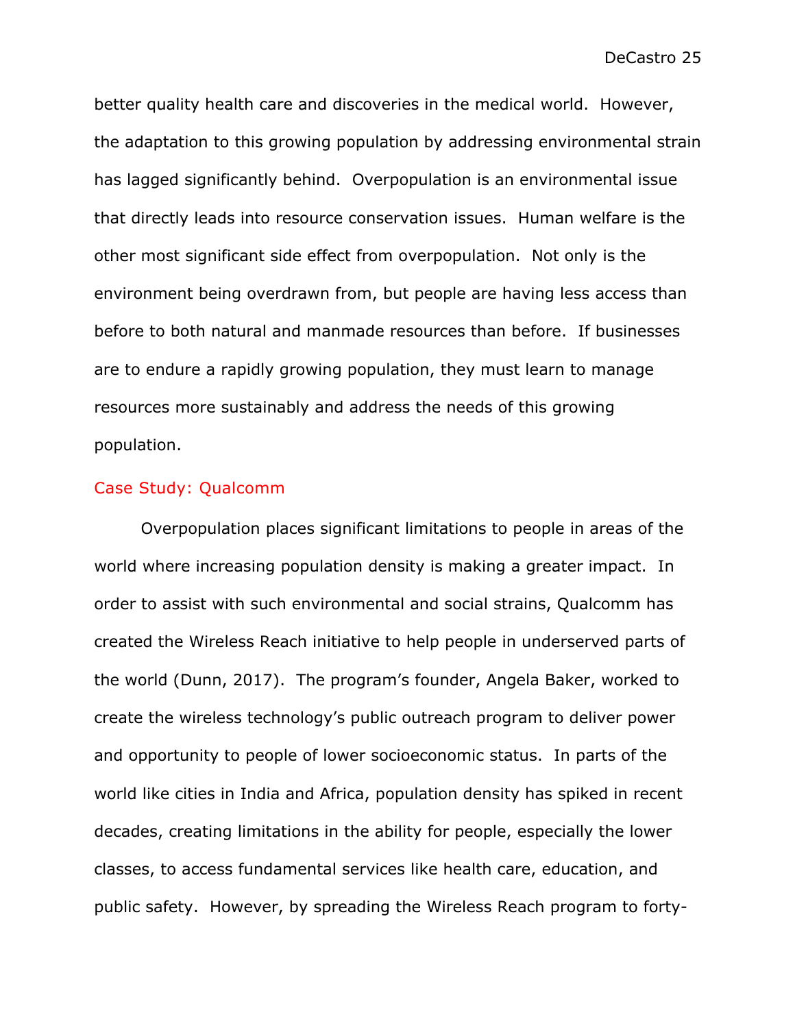better quality health care and discoveries in the medical world. However, the adaptation to this growing population by addressing environmental strain has lagged significantly behind. Overpopulation is an environmental issue that directly leads into resource conservation issues. Human welfare is the other most significant side effect from overpopulation. Not only is the environment being overdrawn from, but people are having less access than before to both natural and manmade resources than before. If businesses are to endure a rapidly growing population, they must learn to manage resources more sustainably and address the needs of this growing population.

#### Case Study: Qualcomm

Overpopulation places significant limitations to people in areas of the world where increasing population density is making a greater impact. In order to assist with such environmental and social strains, Qualcomm has created the Wireless Reach initiative to help people in underserved parts of the world (Dunn, 2017). The program's founder, Angela Baker, worked to create the wireless technology's public outreach program to deliver power and opportunity to people of lower socioeconomic status. In parts of the world like cities in India and Africa, population density has spiked in recent decades, creating limitations in the ability for people, especially the lower classes, to access fundamental services like health care, education, and public safety. However, by spreading the Wireless Reach program to forty-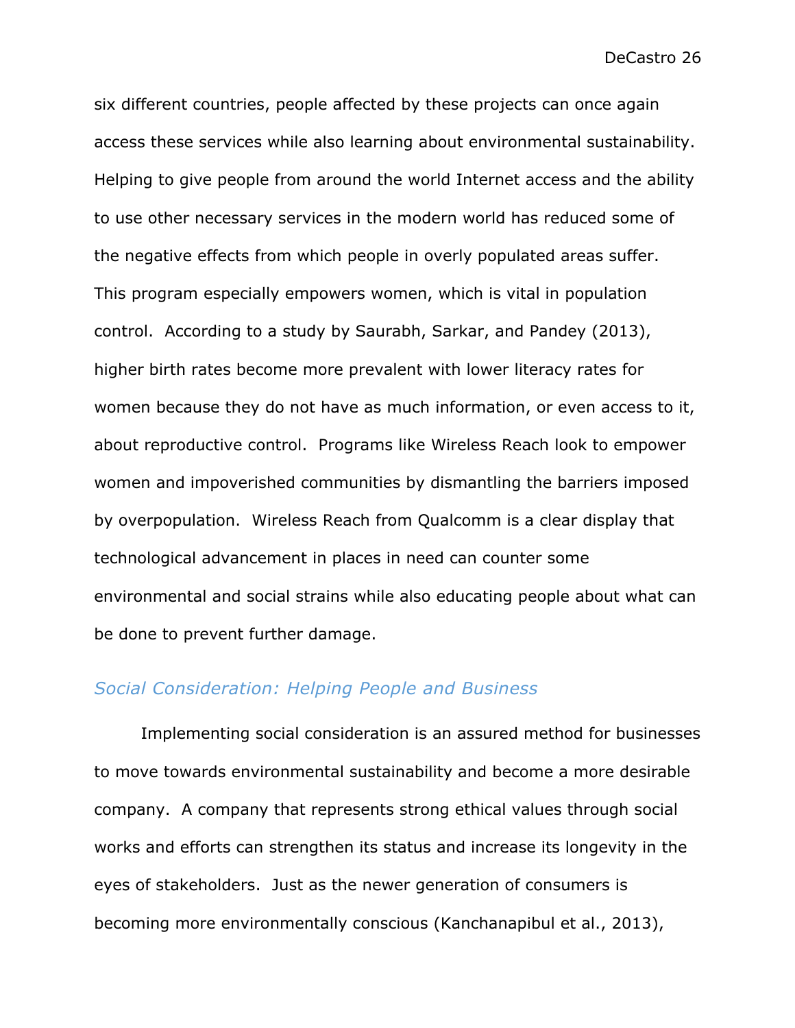six different countries, people affected by these projects can once again access these services while also learning about environmental sustainability. Helping to give people from around the world Internet access and the ability to use other necessary services in the modern world has reduced some of the negative effects from which people in overly populated areas suffer. This program especially empowers women, which is vital in population control. According to a study by Saurabh, Sarkar, and Pandey (2013), higher birth rates become more prevalent with lower literacy rates for women because they do not have as much information, or even access to it, about reproductive control. Programs like Wireless Reach look to empower women and impoverished communities by dismantling the barriers imposed by overpopulation. Wireless Reach from Qualcomm is a clear display that technological advancement in places in need can counter some environmental and social strains while also educating people about what can be done to prevent further damage.

#### *Social Consideration: Helping People and Business*

Implementing social consideration is an assured method for businesses to move towards environmental sustainability and become a more desirable company. A company that represents strong ethical values through social works and efforts can strengthen its status and increase its longevity in the eyes of stakeholders. Just as the newer generation of consumers is becoming more environmentally conscious (Kanchanapibul et al., 2013),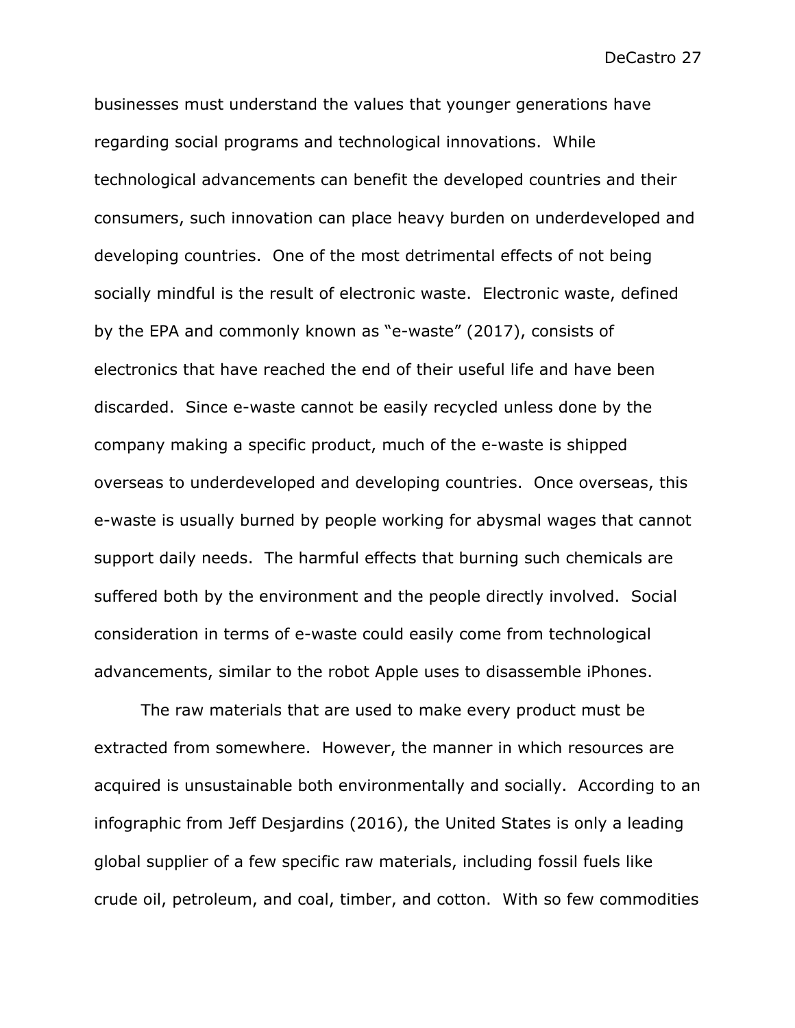businesses must understand the values that younger generations have regarding social programs and technological innovations. While technological advancements can benefit the developed countries and their consumers, such innovation can place heavy burden on underdeveloped and developing countries. One of the most detrimental effects of not being socially mindful is the result of electronic waste. Electronic waste, defined by the EPA and commonly known as "e-waste" (2017), consists of electronics that have reached the end of their useful life and have been discarded. Since e-waste cannot be easily recycled unless done by the company making a specific product, much of the e-waste is shipped overseas to underdeveloped and developing countries. Once overseas, this e-waste is usually burned by people working for abysmal wages that cannot support daily needs. The harmful effects that burning such chemicals are suffered both by the environment and the people directly involved. Social consideration in terms of e-waste could easily come from technological advancements, similar to the robot Apple uses to disassemble iPhones.

The raw materials that are used to make every product must be extracted from somewhere. However, the manner in which resources are acquired is unsustainable both environmentally and socially. According to an infographic from Jeff Desjardins (2016), the United States is only a leading global supplier of a few specific raw materials, including fossil fuels like crude oil, petroleum, and coal, timber, and cotton. With so few commodities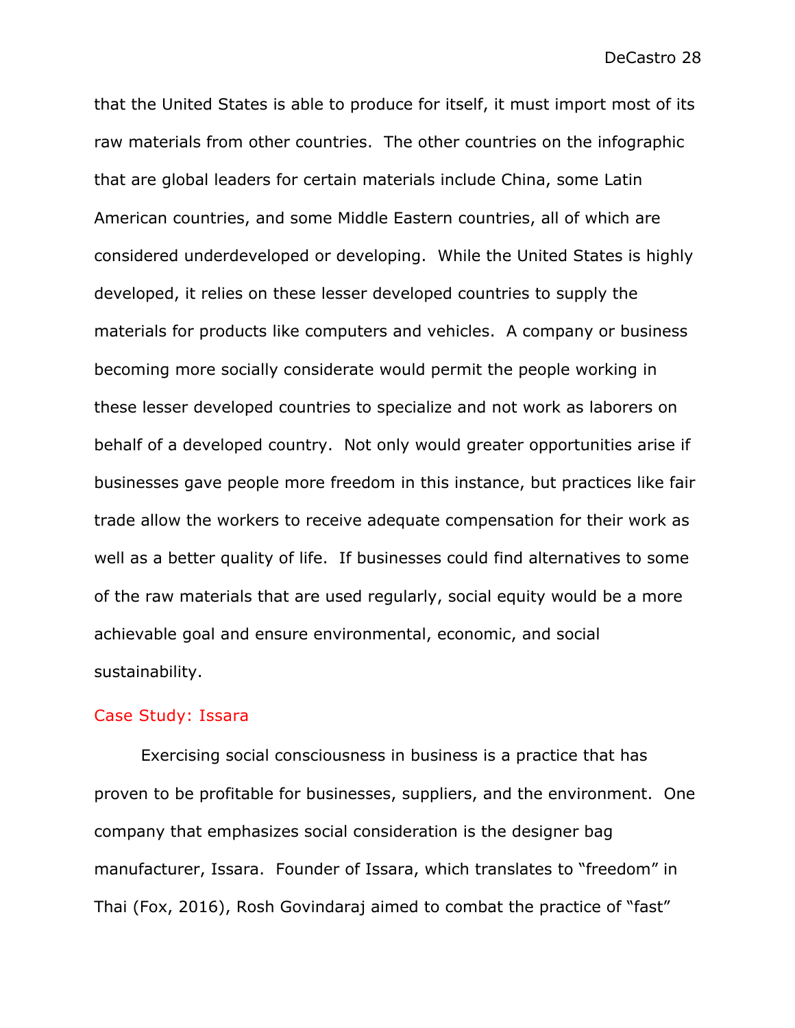that the United States is able to produce for itself, it must import most of its raw materials from other countries. The other countries on the infographic that are global leaders for certain materials include China, some Latin American countries, and some Middle Eastern countries, all of which are considered underdeveloped or developing. While the United States is highly developed, it relies on these lesser developed countries to supply the materials for products like computers and vehicles. A company or business becoming more socially considerate would permit the people working in these lesser developed countries to specialize and not work as laborers on behalf of a developed country. Not only would greater opportunities arise if businesses gave people more freedom in this instance, but practices like fair trade allow the workers to receive adequate compensation for their work as well as a better quality of life. If businesses could find alternatives to some of the raw materials that are used regularly, social equity would be a more achievable goal and ensure environmental, economic, and social sustainability.

#### Case Study: Issara

Exercising social consciousness in business is a practice that has proven to be profitable for businesses, suppliers, and the environment. One company that emphasizes social consideration is the designer bag manufacturer, Issara. Founder of Issara, which translates to "freedom" in Thai (Fox, 2016), Rosh Govindaraj aimed to combat the practice of "fast"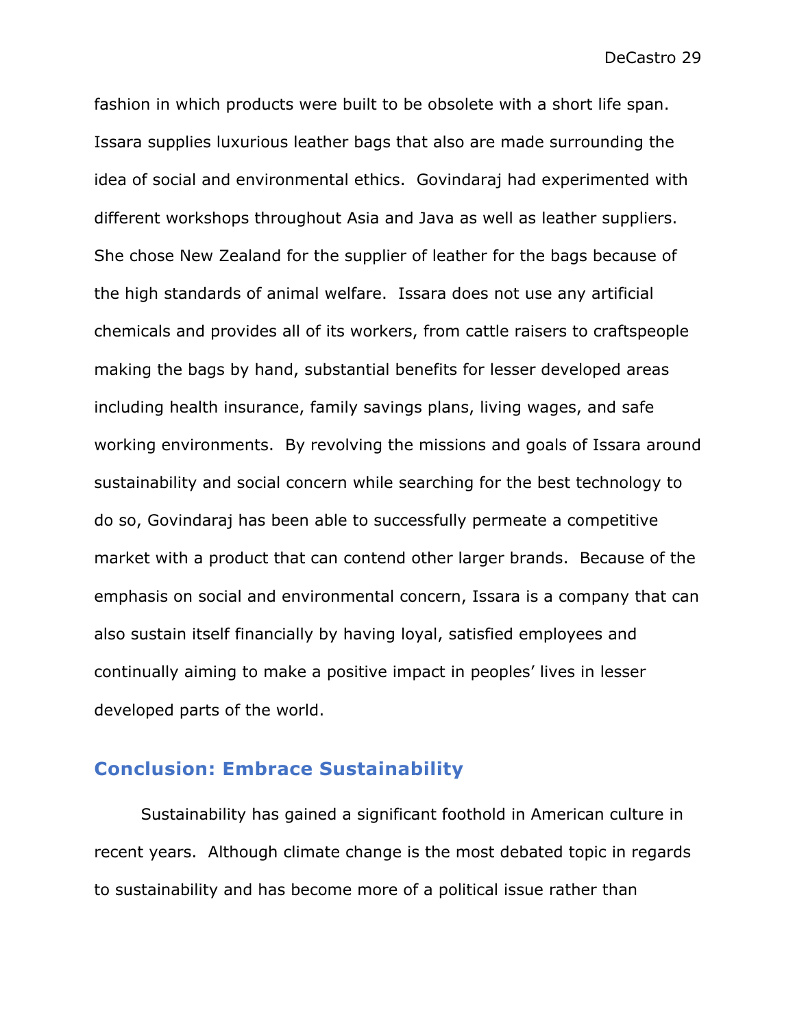fashion in which products were built to be obsolete with a short life span. Issara supplies luxurious leather bags that also are made surrounding the idea of social and environmental ethics. Govindaraj had experimented with different workshops throughout Asia and Java as well as leather suppliers. She chose New Zealand for the supplier of leather for the bags because of the high standards of animal welfare. Issara does not use any artificial chemicals and provides all of its workers, from cattle raisers to craftspeople making the bags by hand, substantial benefits for lesser developed areas including health insurance, family savings plans, living wages, and safe working environments. By revolving the missions and goals of Issara around sustainability and social concern while searching for the best technology to do so, Govindaraj has been able to successfully permeate a competitive market with a product that can contend other larger brands. Because of the emphasis on social and environmental concern, Issara is a company that can also sustain itself financially by having loyal, satisfied employees and continually aiming to make a positive impact in peoples' lives in lesser developed parts of the world.

# **Conclusion: Embrace Sustainability**

Sustainability has gained a significant foothold in American culture in recent years. Although climate change is the most debated topic in regards to sustainability and has become more of a political issue rather than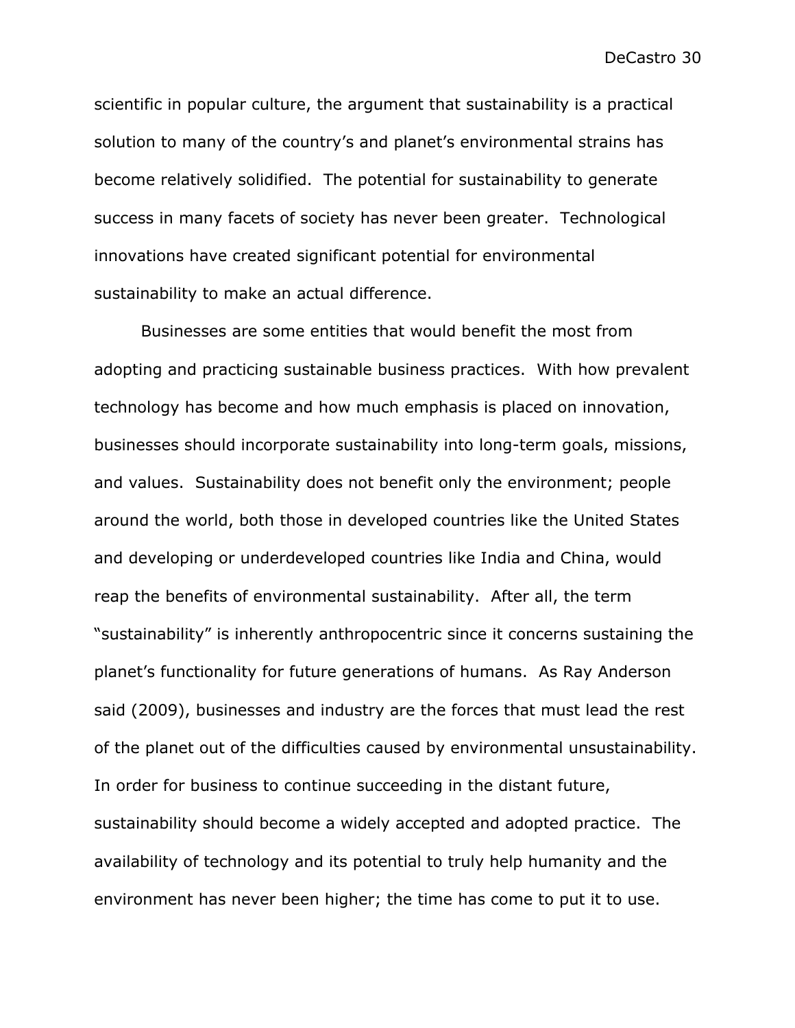scientific in popular culture, the argument that sustainability is a practical solution to many of the country's and planet's environmental strains has become relatively solidified. The potential for sustainability to generate success in many facets of society has never been greater. Technological innovations have created significant potential for environmental sustainability to make an actual difference.

Businesses are some entities that would benefit the most from adopting and practicing sustainable business practices. With how prevalent technology has become and how much emphasis is placed on innovation, businesses should incorporate sustainability into long-term goals, missions, and values. Sustainability does not benefit only the environment; people around the world, both those in developed countries like the United States and developing or underdeveloped countries like India and China, would reap the benefits of environmental sustainability. After all, the term "sustainability" is inherently anthropocentric since it concerns sustaining the planet's functionality for future generations of humans. As Ray Anderson said (2009), businesses and industry are the forces that must lead the rest of the planet out of the difficulties caused by environmental unsustainability. In order for business to continue succeeding in the distant future, sustainability should become a widely accepted and adopted practice. The availability of technology and its potential to truly help humanity and the environment has never been higher; the time has come to put it to use.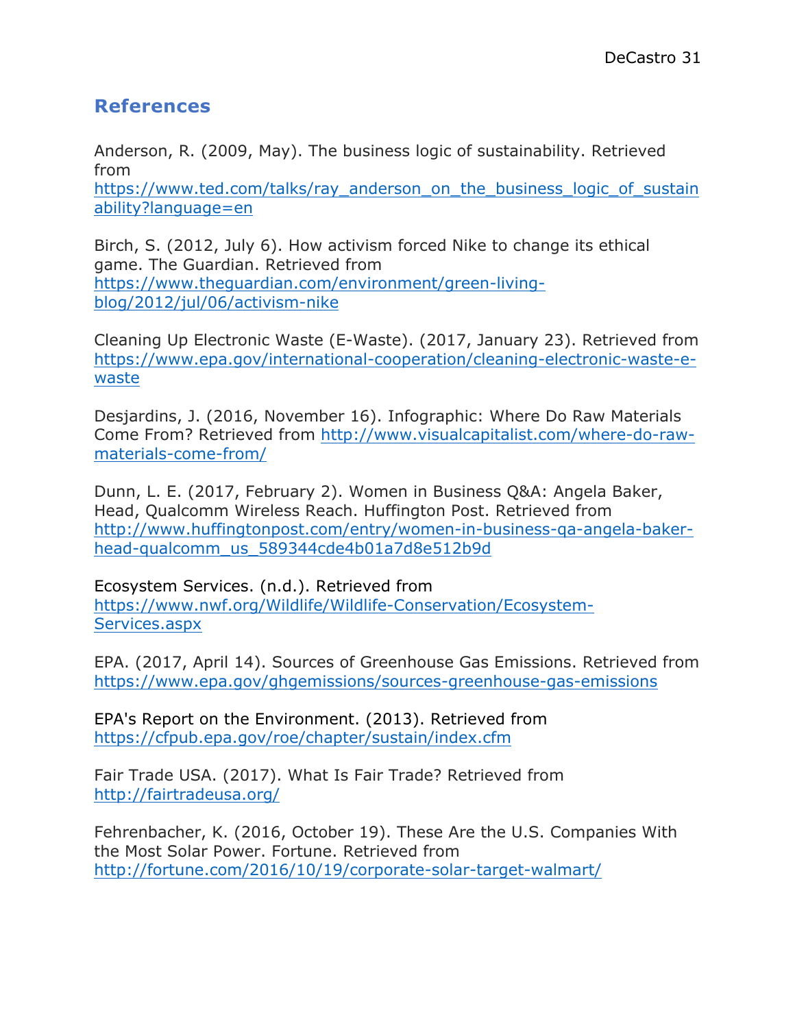# **References**

Anderson, R. (2009, May). The business logic of sustainability. Retrieved from https://www.ted.com/talks/ray\_anderson\_on\_the\_business\_logic\_of\_sustain ability?language=en

Birch, S. (2012, July 6). How activism forced Nike to change its ethical game. The Guardian. Retrieved from https://www.theguardian.com/environment/green-livingblog/2012/jul/06/activism-nike

Cleaning Up Electronic Waste (E-Waste). (2017, January 23). Retrieved from https://www.epa.gov/international-cooperation/cleaning-electronic-waste-ewaste

Desjardins, J. (2016, November 16). Infographic: Where Do Raw Materials Come From? Retrieved from http://www.visualcapitalist.com/where-do-rawmaterials-come-from/

Dunn, L. E. (2017, February 2). Women in Business Q&A: Angela Baker, Head, Qualcomm Wireless Reach. Huffington Post. Retrieved from http://www.huffingtonpost.com/entry/women-in-business-qa-angela-bakerhead-qualcomm\_us\_589344cde4b01a7d8e512b9d

Ecosystem Services. (n.d.). Retrieved from https://www.nwf.org/Wildlife/Wildlife-Conservation/Ecosystem-Services.aspx

EPA. (2017, April 14). Sources of Greenhouse Gas Emissions. Retrieved from https://www.epa.gov/ghgemissions/sources-greenhouse-gas-emissions

EPA's Report on the Environment. (2013). Retrieved from https://cfpub.epa.gov/roe/chapter/sustain/index.cfm

Fair Trade USA. (2017). What Is Fair Trade? Retrieved from http://fairtradeusa.org/

Fehrenbacher, K. (2016, October 19). These Are the U.S. Companies With the Most Solar Power. Fortune. Retrieved from http://fortune.com/2016/10/19/corporate-solar-target-walmart/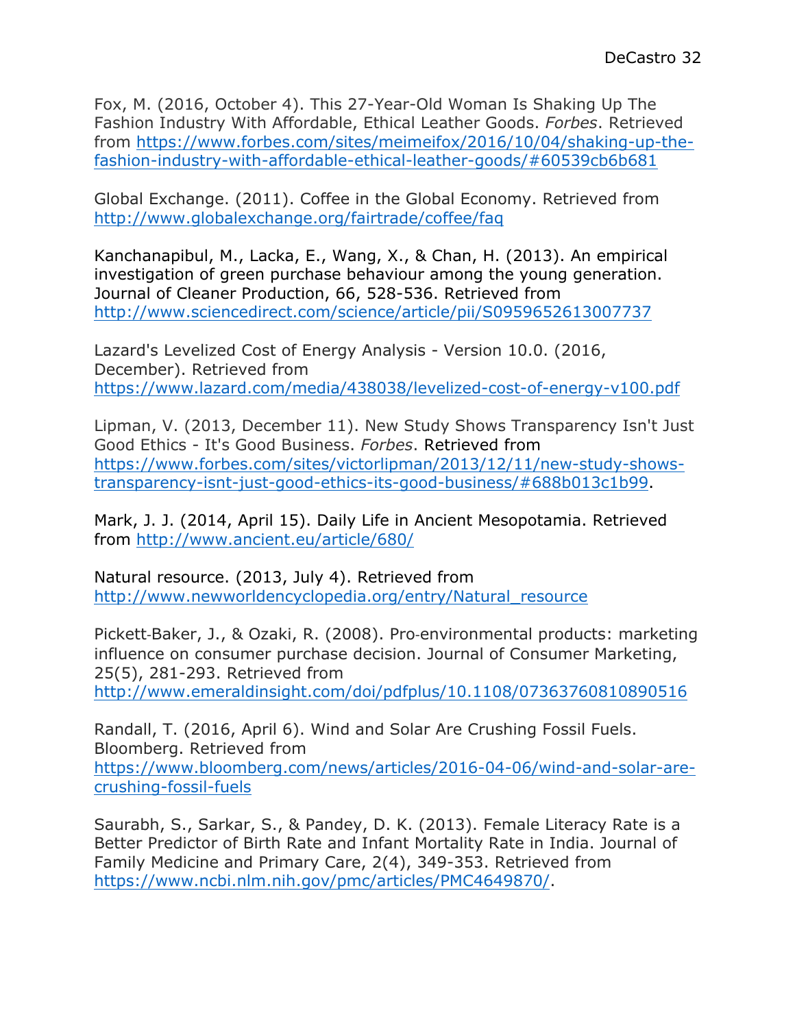Fox, M. (2016, October 4). This 27-Year-Old Woman Is Shaking Up The Fashion Industry With Affordable, Ethical Leather Goods. *Forbes*. Retrieved from https://www.forbes.com/sites/meimeifox/2016/10/04/shaking-up-thefashion-industry-with-affordable-ethical-leather-goods/#60539cb6b681

Global Exchange. (2011). Coffee in the Global Economy. Retrieved from http://www.globalexchange.org/fairtrade/coffee/faq

Kanchanapibul, M., Lacka, E., Wang, X., & Chan, H. (2013). An empirical investigation of green purchase behaviour among the young generation. Journal of Cleaner Production, 66, 528-536. Retrieved from http://www.sciencedirect.com/science/article/pii/S0959652613007737

Lazard's Levelized Cost of Energy Analysis - Version 10.0. (2016, December). Retrieved from https://www.lazard.com/media/438038/levelized-cost-of-energy-v100.pdf

Lipman, V. (2013, December 11). New Study Shows Transparency Isn't Just Good Ethics - It's Good Business. *Forbes*. Retrieved from https://www.forbes.com/sites/victorlipman/2013/12/11/new-study-showstransparency-isnt-just-good-ethics-its-good-business/#688b013c1b99.

Mark, J. J. (2014, April 15). Daily Life in Ancient Mesopotamia. Retrieved from http://www.ancient.eu/article/680/

Natural resource. (2013, July 4). Retrieved from http://www.newworldencyclopedia.org/entry/Natural\_resource

Pickett-Baker, J., & Ozaki, R. (2008). Pro-environmental products: marketing influence on consumer purchase decision. Journal of Consumer Marketing, 25(5), 281-293. Retrieved from http://www.emeraldinsight.com/doi/pdfplus/10.1108/07363760810890516

Randall, T. (2016, April 6). Wind and Solar Are Crushing Fossil Fuels. Bloomberg. Retrieved from https://www.bloomberg.com/news/articles/2016-04-06/wind-and-solar-arecrushing-fossil-fuels

Saurabh, S., Sarkar, S., & Pandey, D. K. (2013). Female Literacy Rate is a Better Predictor of Birth Rate and Infant Mortality Rate in India. Journal of Family Medicine and Primary Care, 2(4), 349-353. Retrieved from https://www.ncbi.nlm.nih.gov/pmc/articles/PMC4649870/.